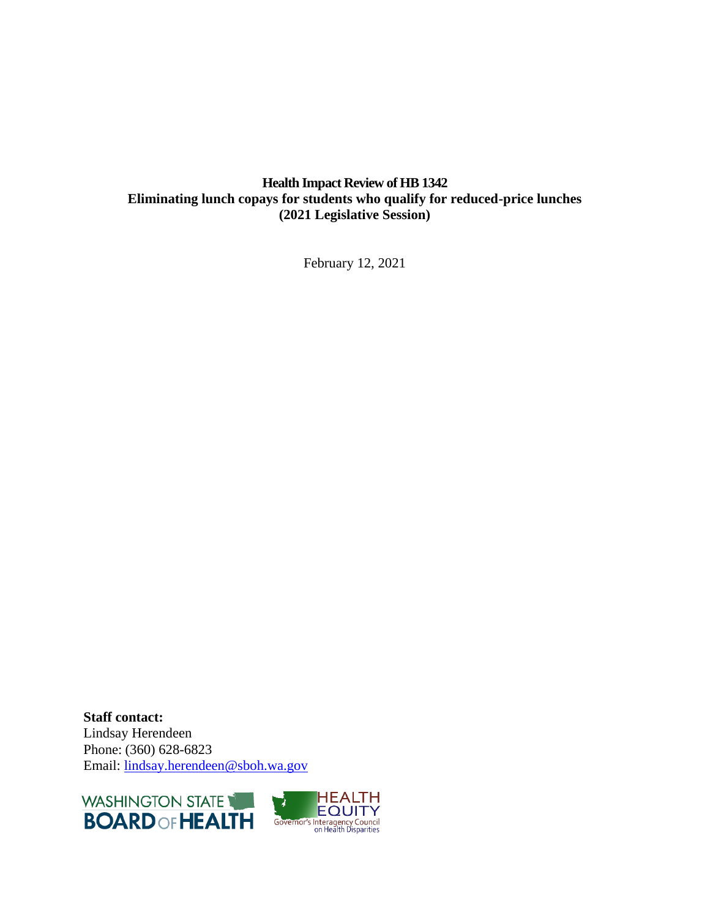## **Health Impact Review of HB 1342 Eliminating lunch copays for students who qualify for reduced-price lunches (2021 Legislative Session)**

February 12, 2021

**Staff contact:** Lindsay Herendeen Phone: (360) 628-6823 Email: [lindsay.herendeen@sboh.wa.gov](mailto:lindsay.herendeen@sboh.wa.gov)



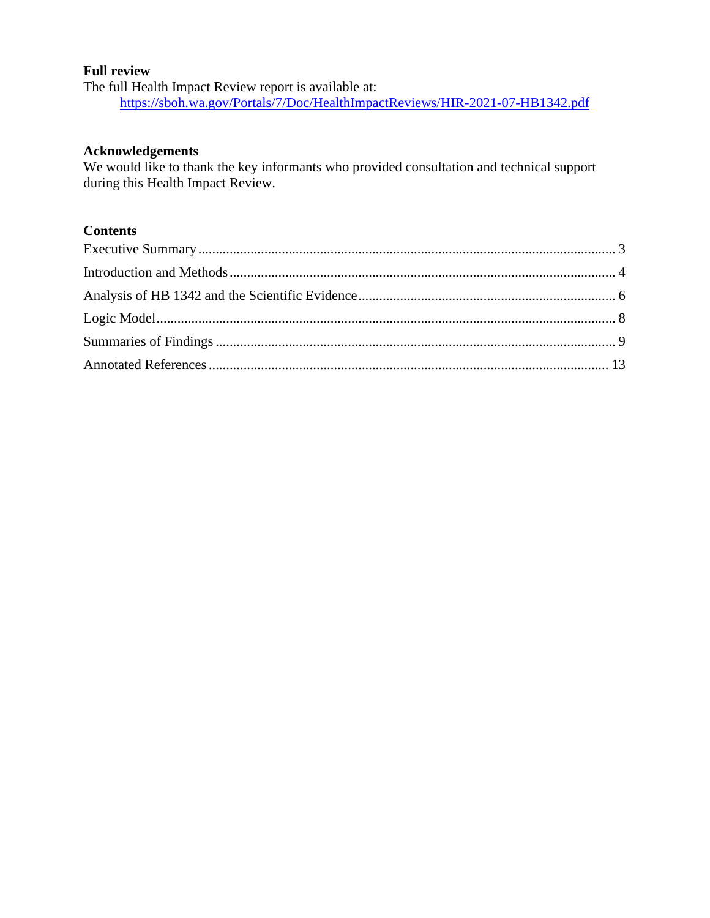### **Full review**

The full Health Impact Review report is available at: <https://sboh.wa.gov/Portals/7/Doc/HealthImpactReviews/HIR-2021-07-HB1342.pdf>

#### **Acknowledgements**

We would like to thank the key informants who provided consultation and technical support during this Health Impact Review.

## **Contents**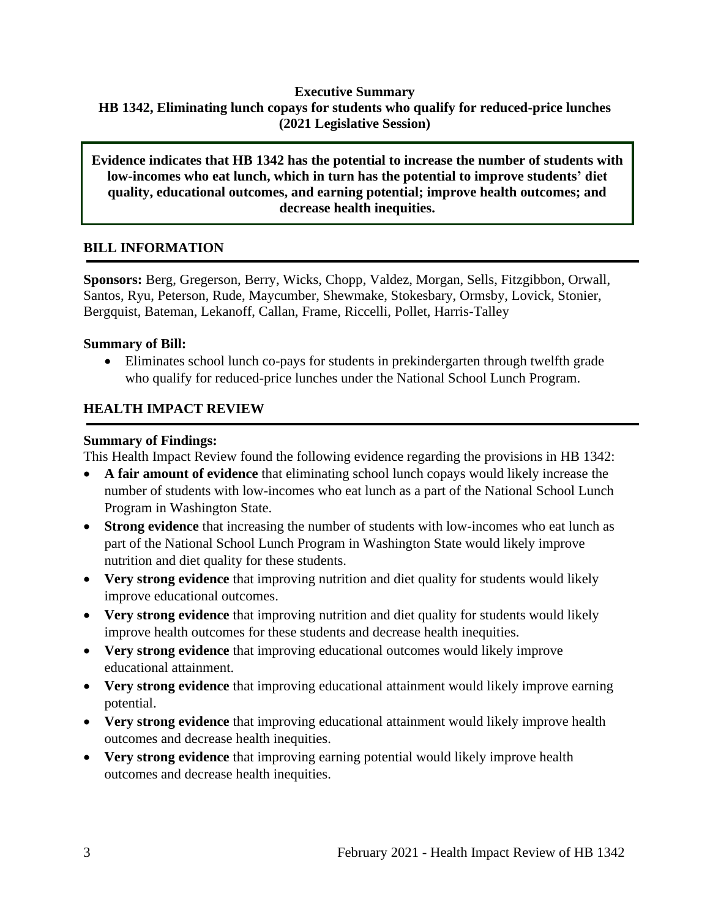### <span id="page-2-0"></span>**Executive Summary HB 1342, Eliminating lunch copays for students who qualify for reduced-price lunches (2021 Legislative Session)**

**Evidence indicates that HB 1342 has the potential to increase the number of students with low-incomes who eat lunch, which in turn has the potential to improve students' diet quality, educational outcomes, and earning potential; improve health outcomes; and decrease health inequities.**

### **BILL INFORMATION**

**Sponsors:** Berg, Gregerson, Berry, Wicks, Chopp, Valdez, Morgan, Sells, Fitzgibbon, Orwall, Santos, Ryu, Peterson, Rude, Maycumber, Shewmake, Stokesbary, Ormsby, Lovick, Stonier, Bergquist, Bateman, Lekanoff, Callan, Frame, Riccelli, Pollet, Harris-Talley

### **Summary of Bill:**

• Eliminates school lunch co-pays for students in prekindergarten through twelfth grade who qualify for reduced-price lunches under the National School Lunch Program.

### **HEALTH IMPACT REVIEW**

### **Summary of Findings:**

This Health Impact Review found the following evidence regarding the provisions in HB 1342:

- **A fair amount of evidence** that eliminating school lunch copays would likely increase the number of students with low-incomes who eat lunch as a part of the National School Lunch Program in Washington State.
- **Strong evidence** that increasing the number of students with low-incomes who eat lunch as part of the National School Lunch Program in Washington State would likely improve nutrition and diet quality for these students.
- **Very strong evidence** that improving nutrition and diet quality for students would likely improve educational outcomes.
- **Very strong evidence** that improving nutrition and diet quality for students would likely improve health outcomes for these students and decrease health inequities.
- **Very strong evidence** that improving educational outcomes would likely improve educational attainment.
- **Very strong evidence** that improving educational attainment would likely improve earning potential.
- **Very strong evidence** that improving educational attainment would likely improve health outcomes and decrease health inequities.
- **Very strong evidence** that improving earning potential would likely improve health outcomes and decrease health inequities.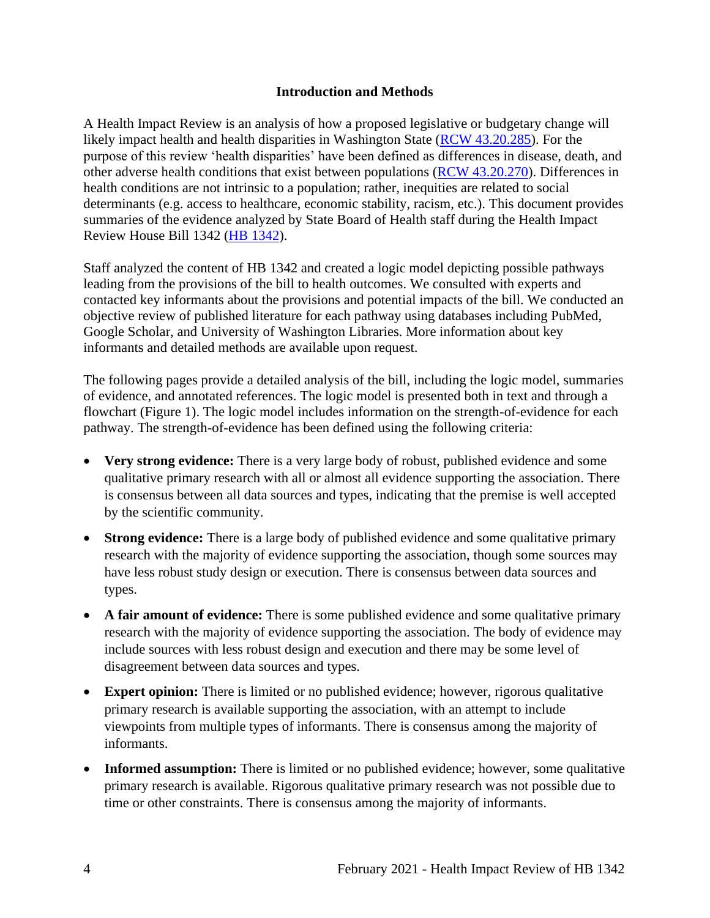### **Introduction and Methods**

<span id="page-3-0"></span>A Health Impact Review is an analysis of how a proposed legislative or budgetary change will likely impact health and health disparities in Washington State [\(RCW 43.20.285\)](http://apps.leg.wa.gov/rcw/default.aspx?cite=43.20.285). For the purpose of this review 'health disparities' have been defined as differences in disease, death, and other adverse health conditions that exist between populations [\(RCW 43.20.270\)](http://apps.leg.wa.gov/rcw/default.aspx?cite=43.20.270). Differences in health conditions are not intrinsic to a population; rather, inequities are related to social determinants (e.g. access to healthcare, economic stability, racism, etc.). This document provides summaries of the evidence analyzed by State Board of Health staff during the Health Impact Review House Bill 1342 [\(HB 1342\)](https://app.leg.wa.gov/billsummary?BillNumber=1892&Year=2019&Initiative=false).

Staff analyzed the content of HB 1342 and created a logic model depicting possible pathways leading from the provisions of the bill to health outcomes. We consulted with experts and contacted key informants about the provisions and potential impacts of the bill. We conducted an objective review of published literature for each pathway using databases including PubMed, Google Scholar, and University of Washington Libraries. More information about key informants and detailed methods are available upon request.

The following pages provide a detailed analysis of the bill, including the logic model, summaries of evidence, and annotated references. The logic model is presented both in text and through a flowchart (Figure 1). The logic model includes information on the strength-of-evidence for each pathway. The strength-of-evidence has been defined using the following criteria:

- **Very strong evidence:** There is a very large body of robust, published evidence and some qualitative primary research with all or almost all evidence supporting the association. There is consensus between all data sources and types, indicating that the premise is well accepted by the scientific community.
- **Strong evidence:** There is a large body of published evidence and some qualitative primary research with the majority of evidence supporting the association, though some sources may have less robust study design or execution. There is consensus between data sources and types.
- **A fair amount of evidence:** There is some published evidence and some qualitative primary research with the majority of evidence supporting the association. The body of evidence may include sources with less robust design and execution and there may be some level of disagreement between data sources and types.
- **Expert opinion:** There is limited or no published evidence; however, rigorous qualitative primary research is available supporting the association, with an attempt to include viewpoints from multiple types of informants. There is consensus among the majority of informants.
- **Informed assumption:** There is limited or no published evidence; however, some qualitative primary research is available. Rigorous qualitative primary research was not possible due to time or other constraints. There is consensus among the majority of informants.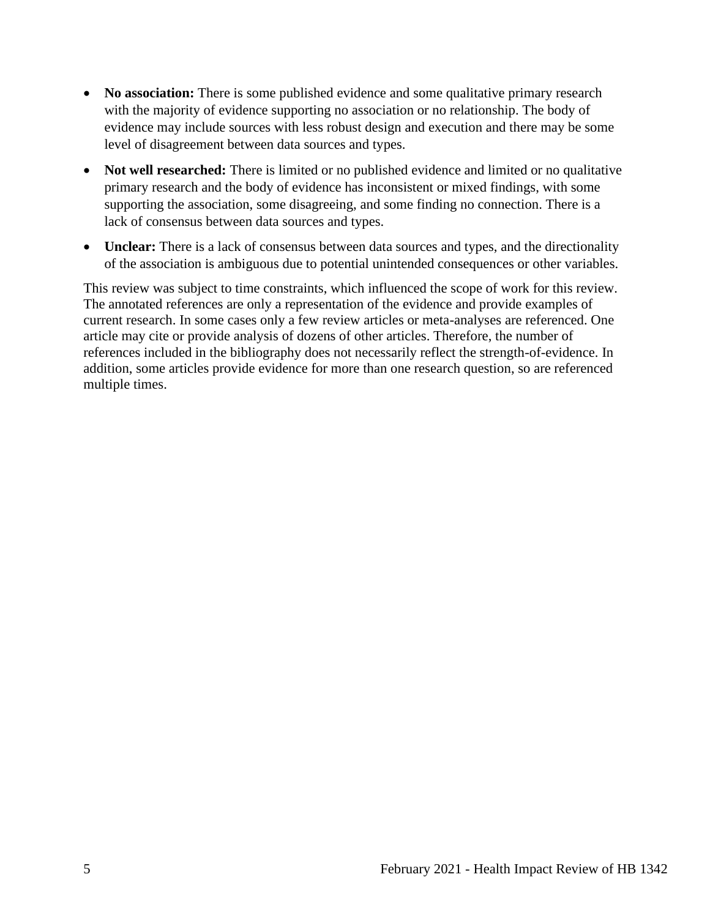- **No association:** There is some published evidence and some qualitative primary research with the majority of evidence supporting no association or no relationship. The body of evidence may include sources with less robust design and execution and there may be some level of disagreement between data sources and types.
- **Not well researched:** There is limited or no published evidence and limited or no qualitative primary research and the body of evidence has inconsistent or mixed findings, with some supporting the association, some disagreeing, and some finding no connection. There is a lack of consensus between data sources and types.
- **Unclear:** There is a lack of consensus between data sources and types, and the directionality of the association is ambiguous due to potential unintended consequences or other variables.

This review was subject to time constraints, which influenced the scope of work for this review. The annotated references are only a representation of the evidence and provide examples of current research. In some cases only a few review articles or meta-analyses are referenced. One article may cite or provide analysis of dozens of other articles. Therefore, the number of references included in the bibliography does not necessarily reflect the strength-of-evidence. In addition, some articles provide evidence for more than one research question, so are referenced multiple times.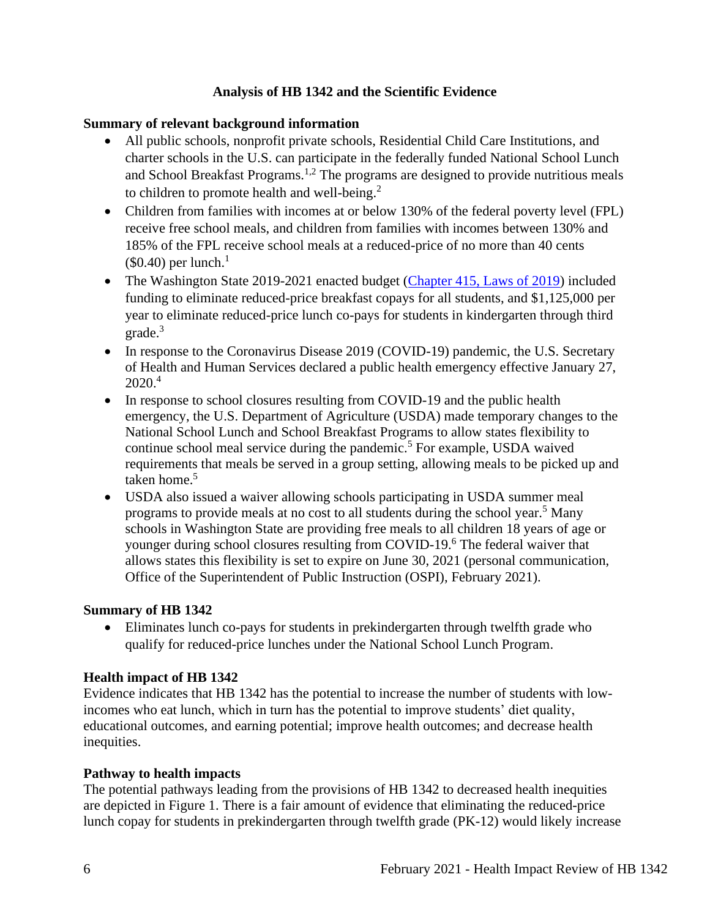### **Analysis of HB 1342 and the Scientific Evidence**

### <span id="page-5-0"></span>**Summary of relevant background information**

- All public schools, nonprofit private schools, Residential Child Care Institutions, and charter schools in the U.S. can participate in the federally funded National School Lunch and School Breakfast Programs.<sup>1,2</sup> The programs are designed to provide nutritious meals to children to promote health and well-being.<sup>2</sup>
- Children from families with incomes at or below 130% of the federal poverty level (FPL) receive free school meals, and children from families with incomes between 130% and 185% of the FPL receive school meals at a reduced-price of no more than 40 cents  $$0.40$ ) per lunch.<sup>1</sup>
- The Washington State 2019-2021 enacted budget [\(Chapter 415, Laws of 2019\)](http://lawfilesext.leg.wa.gov/biennium/2019-20/Pdf/Bills/Session%20Laws/House/1109-S.SL.pdf?q=20210211104222) included funding to eliminate reduced-price breakfast copays for all students, and \$1,125,000 per year to eliminate reduced-price lunch co-pays for students in kindergarten through third grade. 3
- In response to the Coronavirus Disease 2019 (COVID-19) pandemic, the U.S. Secretary of Health and Human Services declared a public health emergency effective January 27,  $2020.<sup>4</sup>$
- In response to school closures resulting from COVID-19 and the public health emergency, the U.S. Department of Agriculture (USDA) made temporary changes to the National School Lunch and School Breakfast Programs to allow states flexibility to continue school meal service during the pandemic.<sup>5</sup> For example, USDA waived requirements that meals be served in a group setting, allowing meals to be picked up and taken home.<sup>5</sup>
- USDA also issued a waiver allowing schools participating in USDA summer meal programs to provide meals at no cost to all students during the school year.<sup>5</sup> Many schools in Washington State are providing free meals to all children 18 years of age or younger during school closures resulting from COVID-19.<sup>6</sup> The federal waiver that allows states this flexibility is set to expire on June 30, 2021 (personal communication, Office of the Superintendent of Public Instruction (OSPI), February 2021).

#### **Summary of HB 1342**

• Eliminates lunch co-pays for students in prekindergarten through twelfth grade who qualify for reduced-price lunches under the National School Lunch Program.

#### **Health impact of HB 1342**

Evidence indicates that HB 1342 has the potential to increase the number of students with lowincomes who eat lunch, which in turn has the potential to improve students' diet quality, educational outcomes, and earning potential; improve health outcomes; and decrease health inequities.

#### **Pathway to health impacts**

The potential pathways leading from the provisions of HB 1342 to decreased health inequities are depicted in Figure 1. There is a fair amount of evidence that eliminating the reduced-price lunch copay for students in prekindergarten through twelfth grade (PK-12) would likely increase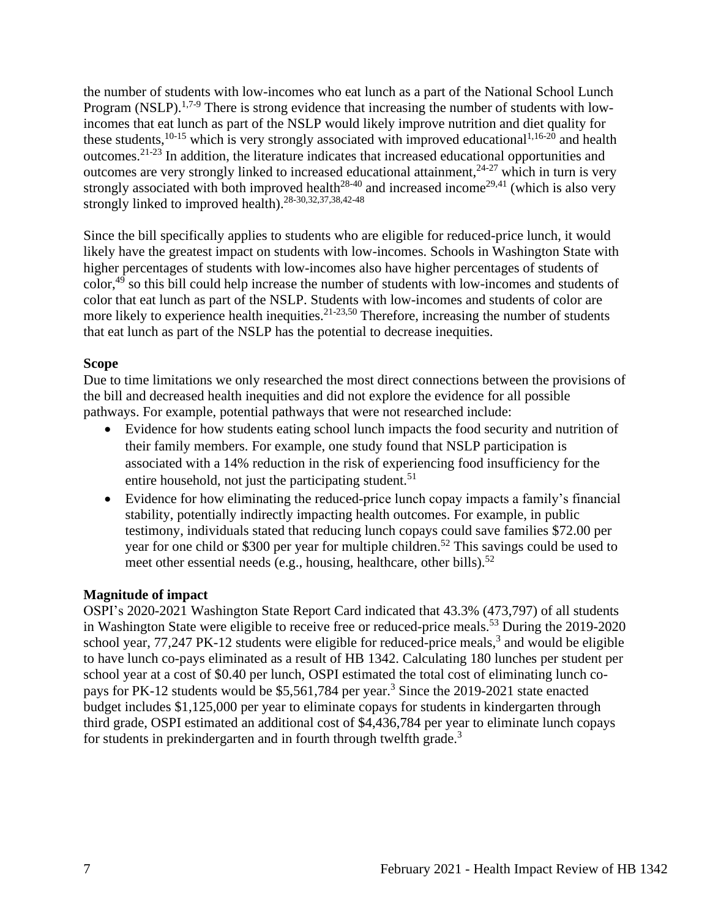the number of students with low-incomes who eat lunch as a part of the National School Lunch Program (NSLP).<sup>1,7-9</sup> There is strong evidence that increasing the number of students with lowincomes that eat lunch as part of the NSLP would likely improve nutrition and diet quality for these students,  $10-15$  which is very strongly associated with improved educational  $1,16-20$  and health outcomes.21-23 In addition, the literature indicates that increased educational opportunities and outcomes are very strongly linked to increased educational attainment,  $24-27$  which in turn is very strongly associated with both improved health<sup>28-40</sup> and increased income<sup>29,41</sup> (which is also very strongly linked to improved health).28-30,32,37,38,42-48

Since the bill specifically applies to students who are eligible for reduced-price lunch, it would likely have the greatest impact on students with low-incomes. Schools in Washington State with higher percentages of students with low-incomes also have higher percentages of students of color,<sup>49</sup> so this bill could help increase the number of students with low-incomes and students of color that eat lunch as part of the NSLP. Students with low-incomes and students of color are more likely to experience health inequities.<sup>21-23,50</sup> Therefore, increasing the number of students that eat lunch as part of the NSLP has the potential to decrease inequities.

### **Scope**

Due to time limitations we only researched the most direct connections between the provisions of the bill and decreased health inequities and did not explore the evidence for all possible pathways. For example, potential pathways that were not researched include:

- Evidence for how students eating school lunch impacts the food security and nutrition of their family members. For example, one study found that NSLP participation is associated with a 14% reduction in the risk of experiencing food insufficiency for the entire household, not just the participating student.<sup>51</sup>
- Evidence for how eliminating the reduced-price lunch copay impacts a family's financial stability, potentially indirectly impacting health outcomes. For example, in public testimony, individuals stated that reducing lunch copays could save families \$72.00 per year for one child or \$300 per year for multiple children. <sup>52</sup> This savings could be used to meet other essential needs (e.g., housing, healthcare, other bills).<sup>52</sup>

### **Magnitude of impact**

OSPI's 2020-2021 Washington State Report Card indicated that 43.3% (473,797) of all students in Washington State were eligible to receive free or reduced-price meals.<sup>53</sup> During the 2019-2020 school year,  $77,247$  PK-12 students were eligible for reduced-price meals,<sup>3</sup> and would be eligible to have lunch co-pays eliminated as a result of HB 1342. Calculating 180 lunches per student per school year at a cost of \$0.40 per lunch, OSPI estimated the total cost of eliminating lunch copays for PK-12 students would be \$5,561,784 per year.<sup>3</sup> Since the 2019-2021 state enacted budget includes \$1,125,000 per year to eliminate copays for students in kindergarten through third grade, OSPI estimated an additional cost of \$4,436,784 per year to eliminate lunch copays for students in prekindergarten and in fourth through twelfth grade.<sup>3</sup>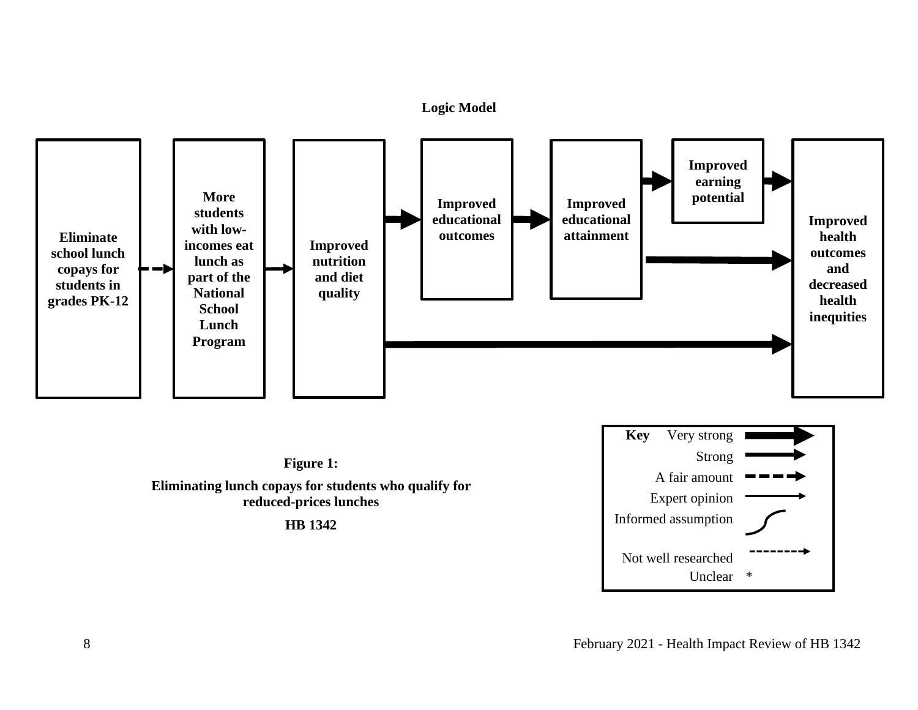#### **Logic Model**



<span id="page-7-0"></span>

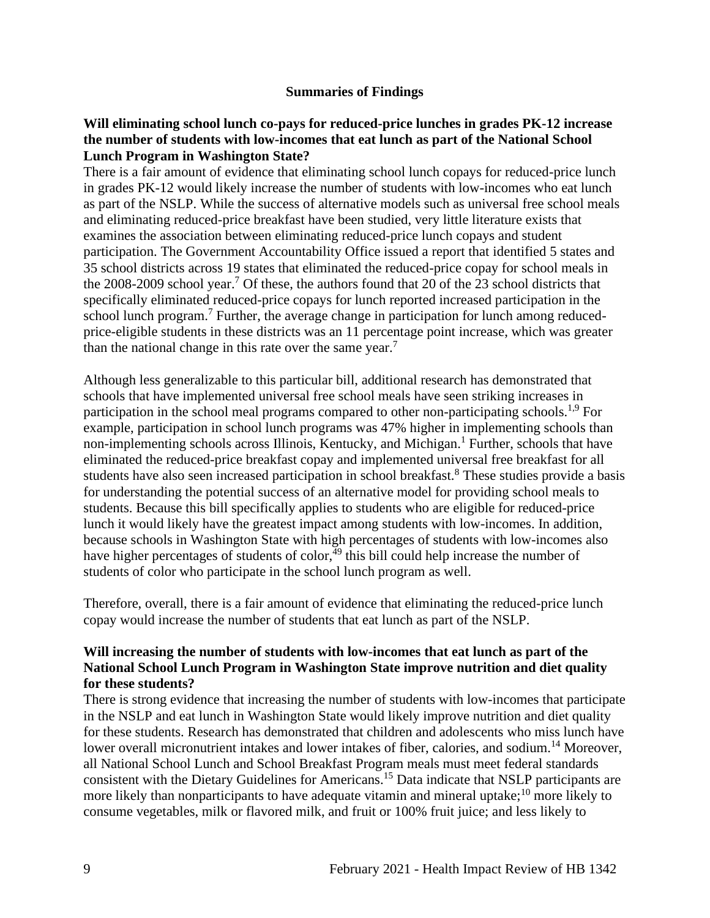#### **Summaries of Findings**

### <span id="page-8-0"></span>**Will eliminating school lunch co-pays for reduced-price lunches in grades PK-12 increase the number of students with low-incomes that eat lunch as part of the National School Lunch Program in Washington State?**

There is a fair amount of evidence that eliminating school lunch copays for reduced-price lunch in grades PK-12 would likely increase the number of students with low-incomes who eat lunch as part of the NSLP. While the success of alternative models such as universal free school meals and eliminating reduced-price breakfast have been studied, very little literature exists that examines the association between eliminating reduced-price lunch copays and student participation. The Government Accountability Office issued a report that identified 5 states and 35 school districts across 19 states that eliminated the reduced-price copay for school meals in the 2008-2009 school year.<sup>7</sup> Of these, the authors found that 20 of the 23 school districts that specifically eliminated reduced-price copays for lunch reported increased participation in the school lunch program.<sup>7</sup> Further, the average change in participation for lunch among reducedprice-eligible students in these districts was an 11 percentage point increase, which was greater than the national change in this rate over the same year.<sup>7</sup>

Although less generalizable to this particular bill, additional research has demonstrated that schools that have implemented universal free school meals have seen striking increases in participation in the school meal programs compared to other non-participating schools.<sup>1,9</sup> For example, participation in school lunch programs was 47% higher in implementing schools than non-implementing schools across Illinois, Kentucky, and Michigan.<sup>1</sup> Further, schools that have eliminated the reduced-price breakfast copay and implemented universal free breakfast for all students have also seen increased participation in school breakfast.<sup>8</sup> These studies provide a basis for understanding the potential success of an alternative model for providing school meals to students. Because this bill specifically applies to students who are eligible for reduced-price lunch it would likely have the greatest impact among students with low-incomes. In addition, because schools in Washington State with high percentages of students with low-incomes also have higher percentages of students of color, $49$  this bill could help increase the number of students of color who participate in the school lunch program as well.

Therefore, overall, there is a fair amount of evidence that eliminating the reduced-price lunch copay would increase the number of students that eat lunch as part of the NSLP.

### **Will increasing the number of students with low-incomes that eat lunch as part of the National School Lunch Program in Washington State improve nutrition and diet quality for these students?**

There is strong evidence that increasing the number of students with low-incomes that participate in the NSLP and eat lunch in Washington State would likely improve nutrition and diet quality for these students. Research has demonstrated that children and adolescents who miss lunch have lower overall micronutrient intakes and lower intakes of fiber, calories, and sodium.<sup>14</sup> Moreover, all National School Lunch and School Breakfast Program meals must meet federal standards consistent with the Dietary Guidelines for Americans.<sup>15</sup> Data indicate that NSLP participants are more likely than nonparticipants to have adequate vitamin and mineral uptake;<sup>10</sup> more likely to consume vegetables, milk or flavored milk, and fruit or 100% fruit juice; and less likely to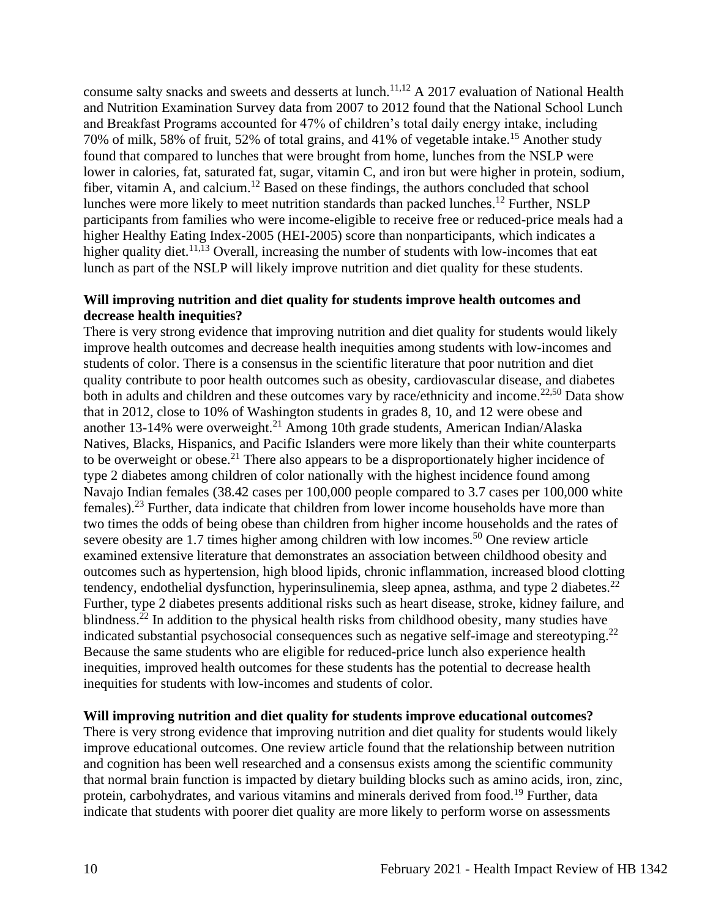consume salty snacks and sweets and desserts at lunch.<sup>11,12</sup> A 2017 evaluation of National Health and Nutrition Examination Survey data from 2007 to 2012 found that the National School Lunch and Breakfast Programs accounted for 47% of children's total daily energy intake, including 70% of milk, 58% of fruit, 52% of total grains, and 41% of vegetable intake.<sup>15</sup> Another study found that compared to lunches that were brought from home, lunches from the NSLP were lower in calories, fat, saturated fat, sugar, vitamin C, and iron but were higher in protein, sodium, fiber, vitamin A, and calcium.<sup>12</sup> Based on these findings, the authors concluded that school lunches were more likely to meet nutrition standards than packed lunches. <sup>12</sup> Further, NSLP participants from families who were income-eligible to receive free or reduced-price meals had a higher Healthy Eating Index-2005 (HEI-2005) score than nonparticipants, which indicates a higher quality diet.<sup>11,13</sup> Overall, increasing the number of students with low-incomes that eat lunch as part of the NSLP will likely improve nutrition and diet quality for these students.

#### **Will improving nutrition and diet quality for students improve health outcomes and decrease health inequities?**

There is very strong evidence that improving nutrition and diet quality for students would likely improve health outcomes and decrease health inequities among students with low-incomes and students of color. There is a consensus in the scientific literature that poor nutrition and diet quality contribute to poor health outcomes such as obesity, cardiovascular disease, and diabetes both in adults and children and these outcomes vary by race/ethnicity and income.<sup>22,50</sup> Data show that in 2012, close to 10% of Washington students in grades 8, 10, and 12 were obese and another 13-14% were overweight.<sup>21</sup> Among 10th grade students, American Indian/Alaska Natives, Blacks, Hispanics, and Pacific Islanders were more likely than their white counterparts to be overweight or obese.<sup>21</sup> There also appears to be a disproportionately higher incidence of type 2 diabetes among children of color nationally with the highest incidence found among Navajo Indian females (38.42 cases per 100,000 people compared to 3.7 cases per 100,000 white females).<sup>23</sup> Further, data indicate that children from lower income households have more than two times the odds of being obese than children from higher income households and the rates of severe obesity are 1.7 times higher among children with low incomes.<sup>50</sup> One review article examined extensive literature that demonstrates an association between childhood obesity and outcomes such as hypertension, high blood lipids, chronic inflammation, increased blood clotting tendency, endothelial dysfunction, hyperinsulinemia, sleep apnea, asthma, and type 2 diabetes.<sup>22</sup> Further, type 2 diabetes presents additional risks such as heart disease, stroke, kidney failure, and blindness. $^{22}$  In addition to the physical health risks from childhood obesity, many studies have indicated substantial psychosocial consequences such as negative self-image and stereotyping.<sup>22</sup> Because the same students who are eligible for reduced-price lunch also experience health inequities, improved health outcomes for these students has the potential to decrease health inequities for students with low-incomes and students of color.

#### **Will improving nutrition and diet quality for students improve educational outcomes?**

There is very strong evidence that improving nutrition and diet quality for students would likely improve educational outcomes. One review article found that the relationship between nutrition and cognition has been well researched and a consensus exists among the scientific community that normal brain function is impacted by dietary building blocks such as amino acids, iron, zinc, protein, carbohydrates, and various vitamins and minerals derived from food.<sup>19</sup> Further, data indicate that students with poorer diet quality are more likely to perform worse on assessments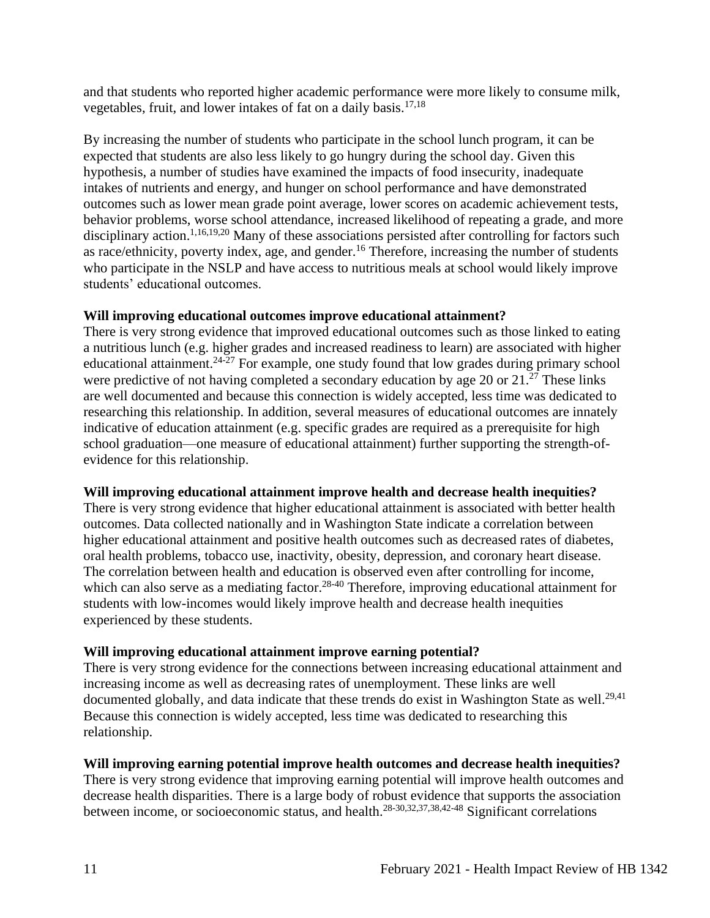and that students who reported higher academic performance were more likely to consume milk, vegetables, fruit, and lower intakes of fat on a daily basis.17,18

By increasing the number of students who participate in the school lunch program, it can be expected that students are also less likely to go hungry during the school day. Given this hypothesis, a number of studies have examined the impacts of food insecurity, inadequate intakes of nutrients and energy, and hunger on school performance and have demonstrated outcomes such as lower mean grade point average, lower scores on academic achievement tests, behavior problems, worse school attendance, increased likelihood of repeating a grade, and more disciplinary action.<sup>1,16,19,20</sup> Many of these associations persisted after controlling for factors such as race/ethnicity, poverty index, age, and gender.<sup>16</sup> Therefore, increasing the number of students who participate in the NSLP and have access to nutritious meals at school would likely improve students' educational outcomes.

### **Will improving educational outcomes improve educational attainment?**

There is very strong evidence that improved educational outcomes such as those linked to eating a nutritious lunch (e.g. higher grades and increased readiness to learn) are associated with higher educational attainment. $24\overline{27}$  For example, one study found that low grades during primary school were predictive of not having completed a secondary education by age 20 or  $21.^{27}$  These links are well documented and because this connection is widely accepted, less time was dedicated to researching this relationship. In addition, several measures of educational outcomes are innately indicative of education attainment (e.g. specific grades are required as a prerequisite for high school graduation—one measure of educational attainment) further supporting the strength-ofevidence for this relationship.

### **Will improving educational attainment improve health and decrease health inequities?**

There is very strong evidence that higher educational attainment is associated with better health outcomes. Data collected nationally and in Washington State indicate a correlation between higher educational attainment and positive health outcomes such as decreased rates of diabetes, oral health problems, tobacco use, inactivity, obesity, depression, and coronary heart disease. The correlation between health and education is observed even after controlling for income, which can also serve as a mediating factor.<sup>28-40</sup> Therefore, improving educational attainment for students with low-incomes would likely improve health and decrease health inequities experienced by these students.

### **Will improving educational attainment improve earning potential?**

There is very strong evidence for the connections between increasing educational attainment and increasing income as well as decreasing rates of unemployment. These links are well documented globally, and data indicate that these trends do exist in Washington State as well.<sup>29,41</sup> Because this connection is widely accepted, less time was dedicated to researching this relationship.

### **Will improving earning potential improve health outcomes and decrease health inequities?**

There is very strong evidence that improving earning potential will improve health outcomes and decrease health disparities. There is a large body of robust evidence that supports the association between income, or socioeconomic status, and health.28-30,32,37,38,42-48 Significant correlations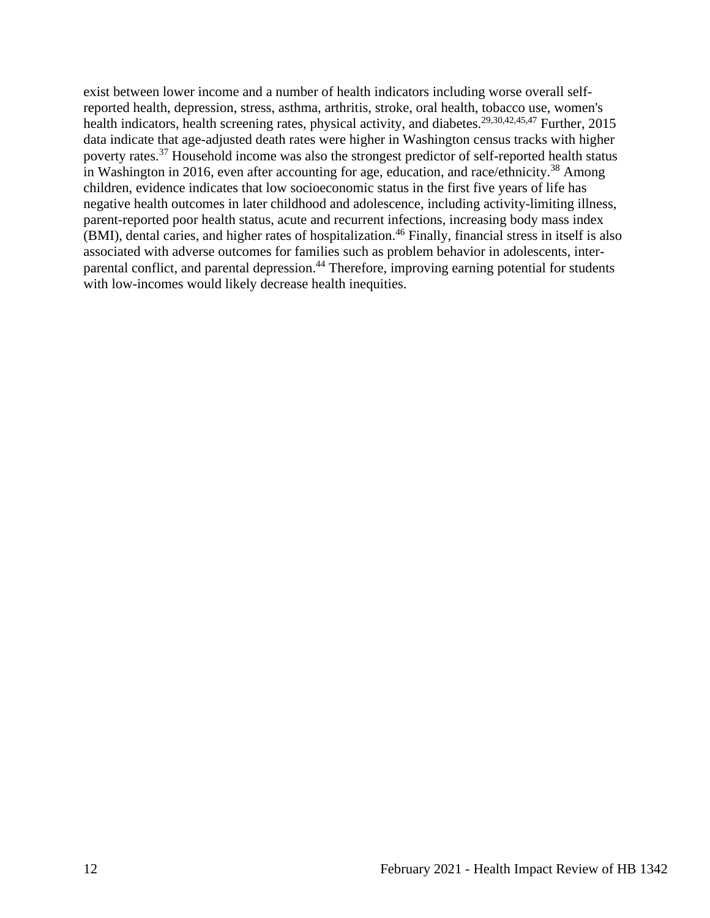exist between lower income and a number of health indicators including worse overall selfreported health, depression, stress, asthma, arthritis, stroke, oral health, tobacco use, women's health indicators, health screening rates, physical activity, and diabetes.<sup>29,30,42,45,47</sup> Further, 2015 data indicate that age-adjusted death rates were higher in Washington census tracks with higher poverty rates.<sup>37</sup> Household income was also the strongest predictor of self-reported health status in Washington in 2016, even after accounting for age, education, and race/ethnicity.<sup>38</sup> Among children, evidence indicates that low socioeconomic status in the first five years of life has negative health outcomes in later childhood and adolescence, including activity-limiting illness, parent-reported poor health status, acute and recurrent infections, increasing body mass index (BMI), dental caries, and higher rates of hospitalization.<sup>46</sup> Finally, financial stress in itself is also associated with adverse outcomes for families such as problem behavior in adolescents, interparental conflict, and parental depression.<sup>44</sup> Therefore, improving earning potential for students with low-incomes would likely decrease health inequities.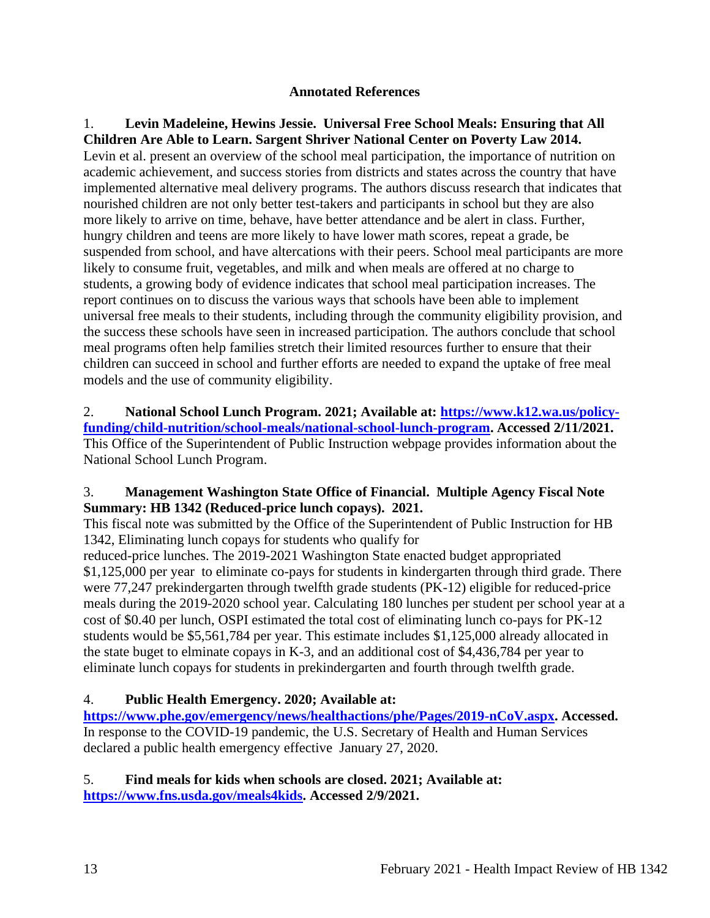### **Annotated References**

<span id="page-12-0"></span>1. **Levin Madeleine, Hewins Jessie. Universal Free School Meals: Ensuring that All Children Are Able to Learn. Sargent Shriver National Center on Poverty Law 2014.** Levin et al. present an overview of the school meal participation, the importance of nutrition on academic achievement, and success stories from districts and states across the country that have implemented alternative meal delivery programs. The authors discuss research that indicates that nourished children are not only better test-takers and participants in school but they are also more likely to arrive on time, behave, have better attendance and be alert in class. Further, hungry children and teens are more likely to have lower math scores, repeat a grade, be suspended from school, and have altercations with their peers. School meal participants are more likely to consume fruit, vegetables, and milk and when meals are offered at no charge to students, a growing body of evidence indicates that school meal participation increases. The report continues on to discuss the various ways that schools have been able to implement universal free meals to their students, including through the community eligibility provision, and the success these schools have seen in increased participation. The authors conclude that school meal programs often help families stretch their limited resources further to ensure that their children can succeed in school and further efforts are needed to expand the uptake of free meal models and the use of community eligibility.

2. **National School Lunch Program. 2021; Available at: [https://www.k12.wa.us/policy](https://www.k12.wa.us/policy-funding/child-nutrition/school-meals/national-school-lunch-program)[funding/child-nutrition/school-meals/national-school-lunch-program.](https://www.k12.wa.us/policy-funding/child-nutrition/school-meals/national-school-lunch-program) Accessed 2/11/2021.** This Office of the Superintendent of Public Instruction webpage provides information about the National School Lunch Program.

## 3. **Management Washington State Office of Financial. Multiple Agency Fiscal Note Summary: HB 1342 (Reduced-price lunch copays). 2021.**

This fiscal note was submitted by the Office of the Superintendent of Public Instruction for HB 1342, Eliminating lunch copays for students who qualify for

reduced-price lunches. The 2019-2021 Washington State enacted budget appropriated \$1,125,000 per year to eliminate co-pays for students in kindergarten through third grade. There were 77,247 prekindergarten through twelfth grade students (PK-12) eligible for reduced-price meals during the 2019-2020 school year. Calculating 180 lunches per student per school year at a cost of \$0.40 per lunch, OSPI estimated the total cost of eliminating lunch co-pays for PK-12 students would be \$5,561,784 per year. This estimate includes \$1,125,000 already allocated in the state buget to elminate copays in K-3, and an additional cost of \$4,436,784 per year to eliminate lunch copays for students in prekindergarten and fourth through twelfth grade.

# 4. **Public Health Emergency. 2020; Available at:**

**[https://www.phe.gov/emergency/news/healthactions/phe/Pages/2019-nCoV.aspx.](https://www.phe.gov/emergency/news/healthactions/phe/Pages/2019-nCoV.aspx) Accessed.** In response to the COVID-19 pandemic, the U.S. Secretary of Health and Human Services declared a public health emergency effective January 27, 2020.

## 5. **Find meals for kids when schools are closed. 2021; Available at: [https://www.fns.usda.gov/meals4kids.](https://www.fns.usda.gov/meals4kids) Accessed 2/9/2021.**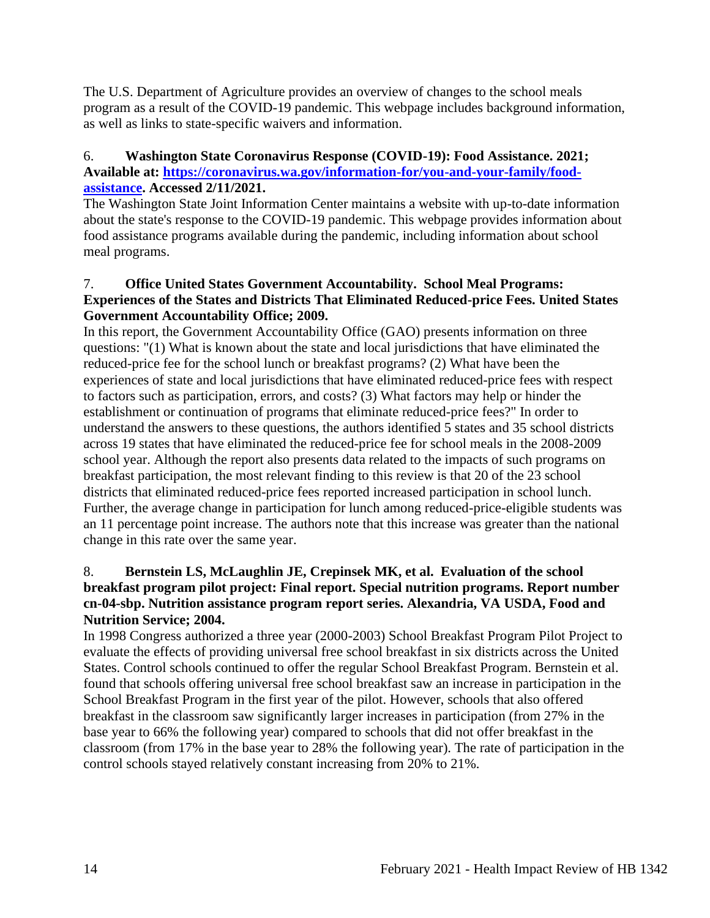The U.S. Department of Agriculture provides an overview of changes to the school meals program as a result of the COVID-19 pandemic. This webpage includes background information, as well as links to state-specific waivers and information.

### 6. **Washington State Coronavirus Response (COVID-19): Food Assistance. 2021; Available at: [https://coronavirus.wa.gov/information-for/you-and-your-family/food](https://coronavirus.wa.gov/information-for/you-and-your-family/food-assistance)[assistance.](https://coronavirus.wa.gov/information-for/you-and-your-family/food-assistance) Accessed 2/11/2021.**

The Washington State Joint Information Center maintains a website with up-to-date information about the state's response to the COVID-19 pandemic. This webpage provides information about food assistance programs available during the pandemic, including information about school meal programs.

### 7. **Office United States Government Accountability. School Meal Programs: Experiences of the States and Districts That Eliminated Reduced-price Fees. United States Government Accountability Office; 2009.**

In this report, the Government Accountability Office (GAO) presents information on three questions: "(1) What is known about the state and local jurisdictions that have eliminated the reduced-price fee for the school lunch or breakfast programs? (2) What have been the experiences of state and local jurisdictions that have eliminated reduced-price fees with respect to factors such as participation, errors, and costs? (3) What factors may help or hinder the establishment or continuation of programs that eliminate reduced-price fees?" In order to understand the answers to these questions, the authors identified 5 states and 35 school districts across 19 states that have eliminated the reduced-price fee for school meals in the 2008-2009 school year. Although the report also presents data related to the impacts of such programs on breakfast participation, the most relevant finding to this review is that 20 of the 23 school districts that eliminated reduced-price fees reported increased participation in school lunch. Further, the average change in participation for lunch among reduced-price-eligible students was an 11 percentage point increase. The authors note that this increase was greater than the national change in this rate over the same year.

### 8. **Bernstein LS, McLaughlin JE, Crepinsek MK, et al. Evaluation of the school breakfast program pilot project: Final report. Special nutrition programs. Report number cn-04-sbp. Nutrition assistance program report series. Alexandria, VA USDA, Food and Nutrition Service; 2004.**

In 1998 Congress authorized a three year (2000-2003) School Breakfast Program Pilot Project to evaluate the effects of providing universal free school breakfast in six districts across the United States. Control schools continued to offer the regular School Breakfast Program. Bernstein et al. found that schools offering universal free school breakfast saw an increase in participation in the School Breakfast Program in the first year of the pilot. However, schools that also offered breakfast in the classroom saw significantly larger increases in participation (from 27% in the base year to 66% the following year) compared to schools that did not offer breakfast in the classroom (from 17% in the base year to 28% the following year). The rate of participation in the control schools stayed relatively constant increasing from 20% to 21%.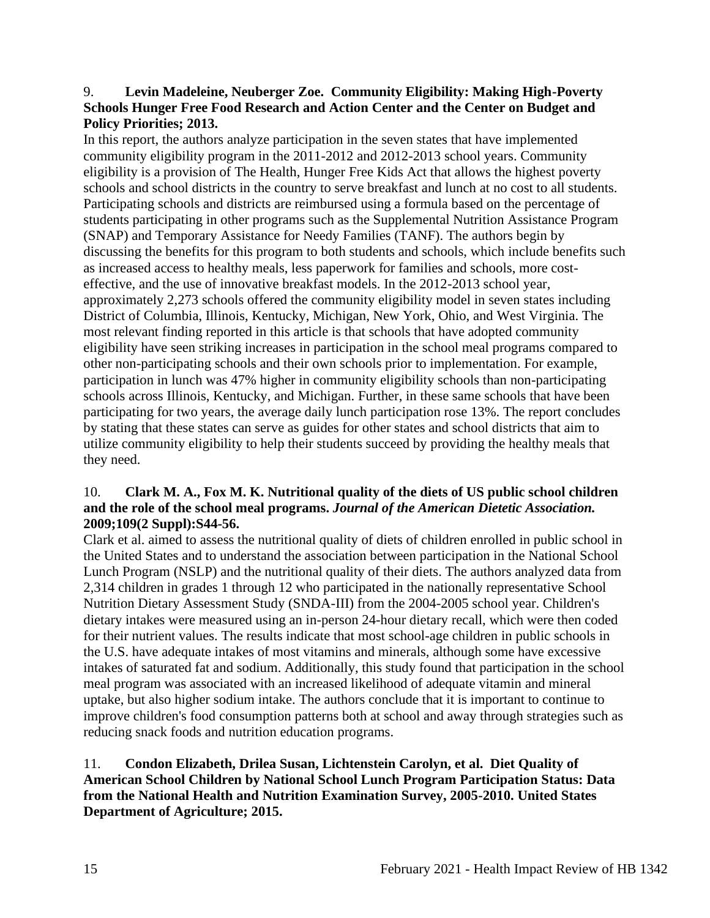### 9. **Levin Madeleine, Neuberger Zoe. Community Eligibility: Making High-Poverty Schools Hunger Free Food Research and Action Center and the Center on Budget and Policy Priorities; 2013.**

In this report, the authors analyze participation in the seven states that have implemented community eligibility program in the 2011-2012 and 2012-2013 school years. Community eligibility is a provision of The Health, Hunger Free Kids Act that allows the highest poverty schools and school districts in the country to serve breakfast and lunch at no cost to all students. Participating schools and districts are reimbursed using a formula based on the percentage of students participating in other programs such as the Supplemental Nutrition Assistance Program (SNAP) and Temporary Assistance for Needy Families (TANF). The authors begin by discussing the benefits for this program to both students and schools, which include benefits such as increased access to healthy meals, less paperwork for families and schools, more costeffective, and the use of innovative breakfast models. In the 2012-2013 school year, approximately 2,273 schools offered the community eligibility model in seven states including District of Columbia, Illinois, Kentucky, Michigan, New York, Ohio, and West Virginia. The most relevant finding reported in this article is that schools that have adopted community eligibility have seen striking increases in participation in the school meal programs compared to other non-participating schools and their own schools prior to implementation. For example, participation in lunch was 47% higher in community eligibility schools than non-participating schools across Illinois, Kentucky, and Michigan. Further, in these same schools that have been participating for two years, the average daily lunch participation rose 13%. The report concludes by stating that these states can serve as guides for other states and school districts that aim to utilize community eligibility to help their students succeed by providing the healthy meals that they need.

## 10. **Clark M. A., Fox M. K. Nutritional quality of the diets of US public school children and the role of the school meal programs.** *Journal of the American Dietetic Association.*  **2009;109(2 Suppl):S44-56.**

Clark et al. aimed to assess the nutritional quality of diets of children enrolled in public school in the United States and to understand the association between participation in the National School Lunch Program (NSLP) and the nutritional quality of their diets. The authors analyzed data from 2,314 children in grades 1 through 12 who participated in the nationally representative School Nutrition Dietary Assessment Study (SNDA-III) from the 2004-2005 school year. Children's dietary intakes were measured using an in-person 24-hour dietary recall, which were then coded for their nutrient values. The results indicate that most school-age children in public schools in the U.S. have adequate intakes of most vitamins and minerals, although some have excessive intakes of saturated fat and sodium. Additionally, this study found that participation in the school meal program was associated with an increased likelihood of adequate vitamin and mineral uptake, but also higher sodium intake. The authors conclude that it is important to continue to improve children's food consumption patterns both at school and away through strategies such as reducing snack foods and nutrition education programs.

### 11. **Condon Elizabeth, Drilea Susan, Lichtenstein Carolyn, et al. Diet Quality of American School Children by National School Lunch Program Participation Status: Data from the National Health and Nutrition Examination Survey, 2005-2010. United States Department of Agriculture; 2015.**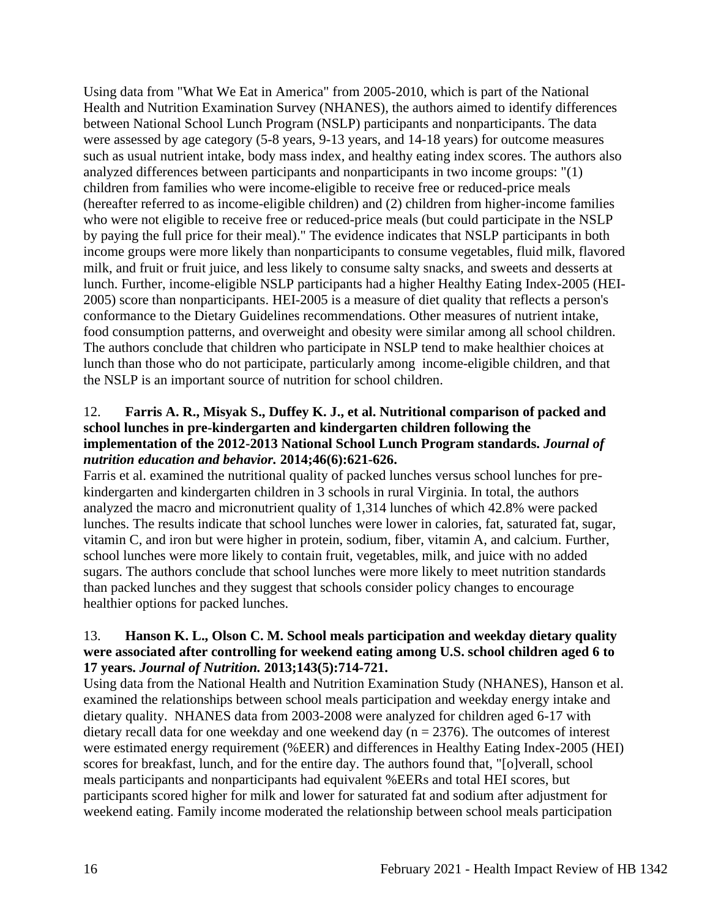Using data from "What We Eat in America" from 2005-2010, which is part of the National Health and Nutrition Examination Survey (NHANES), the authors aimed to identify differences between National School Lunch Program (NSLP) participants and nonparticipants. The data were assessed by age category (5-8 years, 9-13 years, and 14-18 years) for outcome measures such as usual nutrient intake, body mass index, and healthy eating index scores. The authors also analyzed differences between participants and nonparticipants in two income groups: "(1) children from families who were income-eligible to receive free or reduced-price meals (hereafter referred to as income-eligible children) and (2) children from higher-income families who were not eligible to receive free or reduced-price meals (but could participate in the NSLP by paying the full price for their meal)." The evidence indicates that NSLP participants in both income groups were more likely than nonparticipants to consume vegetables, fluid milk, flavored milk, and fruit or fruit juice, and less likely to consume salty snacks, and sweets and desserts at lunch. Further, income-eligible NSLP participants had a higher Healthy Eating Index-2005 (HEI-2005) score than nonparticipants. HEI-2005 is a measure of diet quality that reflects a person's conformance to the Dietary Guidelines recommendations. Other measures of nutrient intake, food consumption patterns, and overweight and obesity were similar among all school children. The authors conclude that children who participate in NSLP tend to make healthier choices at lunch than those who do not participate, particularly among income-eligible children, and that the NSLP is an important source of nutrition for school children.

### 12. **Farris A. R., Misyak S., Duffey K. J., et al. Nutritional comparison of packed and school lunches in pre-kindergarten and kindergarten children following the implementation of the 2012-2013 National School Lunch Program standards.** *Journal of nutrition education and behavior.* **2014;46(6):621-626.**

Farris et al. examined the nutritional quality of packed lunches versus school lunches for prekindergarten and kindergarten children in 3 schools in rural Virginia. In total, the authors analyzed the macro and micronutrient quality of 1,314 lunches of which 42.8% were packed lunches. The results indicate that school lunches were lower in calories, fat, saturated fat, sugar, vitamin C, and iron but were higher in protein, sodium, fiber, vitamin A, and calcium. Further, school lunches were more likely to contain fruit, vegetables, milk, and juice with no added sugars. The authors conclude that school lunches were more likely to meet nutrition standards than packed lunches and they suggest that schools consider policy changes to encourage healthier options for packed lunches.

### 13. **Hanson K. L., Olson C. M. School meals participation and weekday dietary quality were associated after controlling for weekend eating among U.S. school children aged 6 to 17 years.** *Journal of Nutrition.* **2013;143(5):714-721.**

Using data from the National Health and Nutrition Examination Study (NHANES), Hanson et al. examined the relationships between school meals participation and weekday energy intake and dietary quality. NHANES data from 2003-2008 were analyzed for children aged 6-17 with dietary recall data for one weekday and one weekend day ( $n = 2376$ ). The outcomes of interest were estimated energy requirement (%EER) and differences in Healthy Eating Index-2005 (HEI) scores for breakfast, lunch, and for the entire day. The authors found that, "[o]verall, school meals participants and nonparticipants had equivalent %EERs and total HEI scores, but participants scored higher for milk and lower for saturated fat and sodium after adjustment for weekend eating. Family income moderated the relationship between school meals participation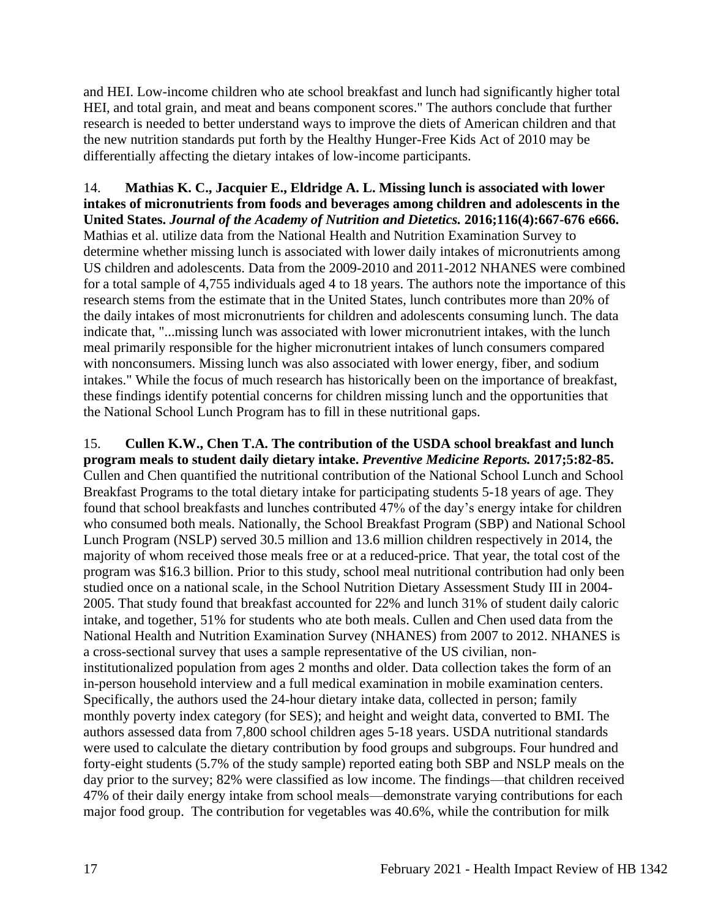and HEI. Low-income children who ate school breakfast and lunch had significantly higher total HEI, and total grain, and meat and beans component scores." The authors conclude that further research is needed to better understand ways to improve the diets of American children and that the new nutrition standards put forth by the Healthy Hunger-Free Kids Act of 2010 may be differentially affecting the dietary intakes of low-income participants.

# 14. **Mathias K. C., Jacquier E., Eldridge A. L. Missing lunch is associated with lower intakes of micronutrients from foods and beverages among children and adolescents in the United States.** *Journal of the Academy of Nutrition and Dietetics.* **2016;116(4):667-676 e666.** Mathias et al. utilize data from the National Health and Nutrition Examination Survey to

determine whether missing lunch is associated with lower daily intakes of micronutrients among US children and adolescents. Data from the 2009-2010 and 2011-2012 NHANES were combined for a total sample of 4,755 individuals aged 4 to 18 years. The authors note the importance of this research stems from the estimate that in the United States, lunch contributes more than 20% of the daily intakes of most micronutrients for children and adolescents consuming lunch. The data indicate that, "...missing lunch was associated with lower micronutrient intakes, with the lunch meal primarily responsible for the higher micronutrient intakes of lunch consumers compared with nonconsumers. Missing lunch was also associated with lower energy, fiber, and sodium intakes." While the focus of much research has historically been on the importance of breakfast, these findings identify potential concerns for children missing lunch and the opportunities that the National School Lunch Program has to fill in these nutritional gaps.

15. **Cullen K.W., Chen T.A. The contribution of the USDA school breakfast and lunch program meals to student daily dietary intake.** *Preventive Medicine Reports.* **2017;5:82-85.** Cullen and Chen quantified the nutritional contribution of the National School Lunch and School Breakfast Programs to the total dietary intake for participating students 5-18 years of age. They found that school breakfasts and lunches contributed 47% of the day's energy intake for children who consumed both meals. Nationally, the School Breakfast Program (SBP) and National School Lunch Program (NSLP) served 30.5 million and 13.6 million children respectively in 2014, the majority of whom received those meals free or at a reduced-price. That year, the total cost of the program was \$16.3 billion. Prior to this study, school meal nutritional contribution had only been studied once on a national scale, in the School Nutrition Dietary Assessment Study III in 2004- 2005. That study found that breakfast accounted for 22% and lunch 31% of student daily caloric intake, and together, 51% for students who ate both meals. Cullen and Chen used data from the National Health and Nutrition Examination Survey (NHANES) from 2007 to 2012. NHANES is a cross-sectional survey that uses a sample representative of the US civilian, noninstitutionalized population from ages 2 months and older. Data collection takes the form of an in-person household interview and a full medical examination in mobile examination centers. Specifically, the authors used the 24-hour dietary intake data, collected in person; family monthly poverty index category (for SES); and height and weight data, converted to BMI. The authors assessed data from 7,800 school children ages 5-18 years. USDA nutritional standards were used to calculate the dietary contribution by food groups and subgroups. Four hundred and forty-eight students (5.7% of the study sample) reported eating both SBP and NSLP meals on the day prior to the survey; 82% were classified as low income. The findings—that children received 47% of their daily energy intake from school meals—demonstrate varying contributions for each major food group. The contribution for vegetables was 40.6%, while the contribution for milk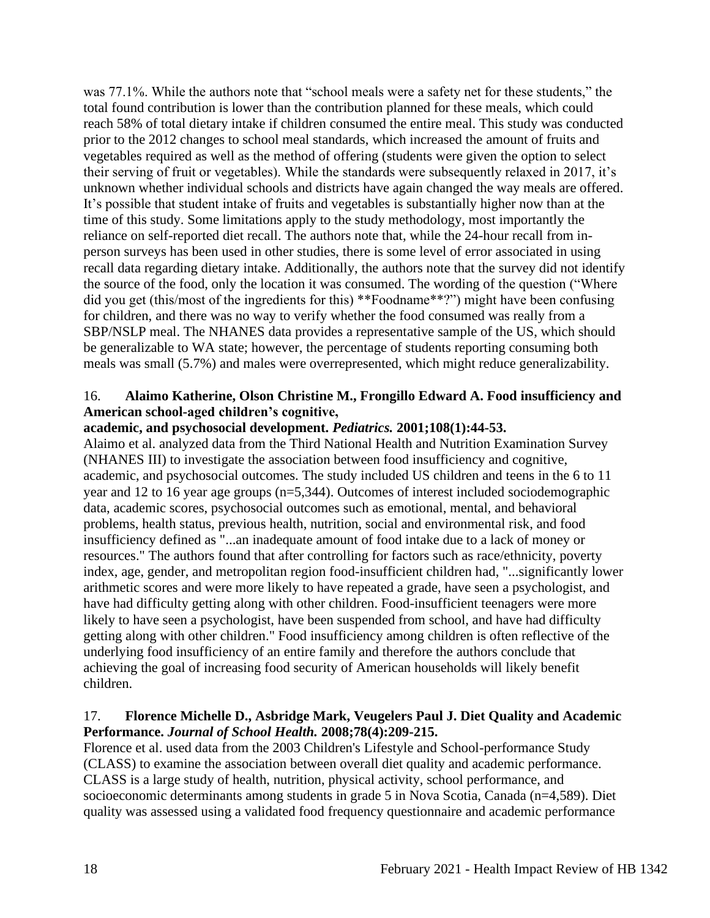was 77.1%. While the authors note that "school meals were a safety net for these students," the total found contribution is lower than the contribution planned for these meals, which could reach 58% of total dietary intake if children consumed the entire meal. This study was conducted prior to the 2012 changes to school meal standards, which increased the amount of fruits and vegetables required as well as the method of offering (students were given the option to select their serving of fruit or vegetables). While the standards were subsequently relaxed in 2017, it's unknown whether individual schools and districts have again changed the way meals are offered. It's possible that student intake of fruits and vegetables is substantially higher now than at the time of this study. Some limitations apply to the study methodology, most importantly the reliance on self-reported diet recall. The authors note that, while the 24-hour recall from inperson surveys has been used in other studies, there is some level of error associated in using recall data regarding dietary intake. Additionally, the authors note that the survey did not identify the source of the food, only the location it was consumed. The wording of the question ("Where did you get (this/most of the ingredients for this) \*\*Foodname\*\*?") might have been confusing for children, and there was no way to verify whether the food consumed was really from a SBP/NSLP meal. The NHANES data provides a representative sample of the US, which should be generalizable to WA state; however, the percentage of students reporting consuming both meals was small (5.7%) and males were overrepresented, which might reduce generalizability.

### 16. **Alaimo Katherine, Olson Christine M., Frongillo Edward A. Food insufficiency and American school-aged children's cognitive,**

### **academic, and psychosocial development.** *Pediatrics.* **2001;108(1):44-53.**

Alaimo et al. analyzed data from the Third National Health and Nutrition Examination Survey (NHANES III) to investigate the association between food insufficiency and cognitive, academic, and psychosocial outcomes. The study included US children and teens in the 6 to 11 year and 12 to 16 year age groups (n=5,344). Outcomes of interest included sociodemographic data, academic scores, psychosocial outcomes such as emotional, mental, and behavioral problems, health status, previous health, nutrition, social and environmental risk, and food insufficiency defined as "...an inadequate amount of food intake due to a lack of money or resources." The authors found that after controlling for factors such as race/ethnicity, poverty index, age, gender, and metropolitan region food-insufficient children had, "...significantly lower arithmetic scores and were more likely to have repeated a grade, have seen a psychologist, and have had difficulty getting along with other children. Food-insufficient teenagers were more likely to have seen a psychologist, have been suspended from school, and have had difficulty getting along with other children." Food insufficiency among children is often reflective of the underlying food insufficiency of an entire family and therefore the authors conclude that achieving the goal of increasing food security of American households will likely benefit children.

### 17. **Florence Michelle D., Asbridge Mark, Veugelers Paul J. Diet Quality and Academic Performance.** *Journal of School Health.* **2008;78(4):209-215.**

Florence et al. used data from the 2003 Children's Lifestyle and School-performance Study (CLASS) to examine the association between overall diet quality and academic performance. CLASS is a large study of health, nutrition, physical activity, school performance, and socioeconomic determinants among students in grade 5 in Nova Scotia, Canada (n=4,589). Diet quality was assessed using a validated food frequency questionnaire and academic performance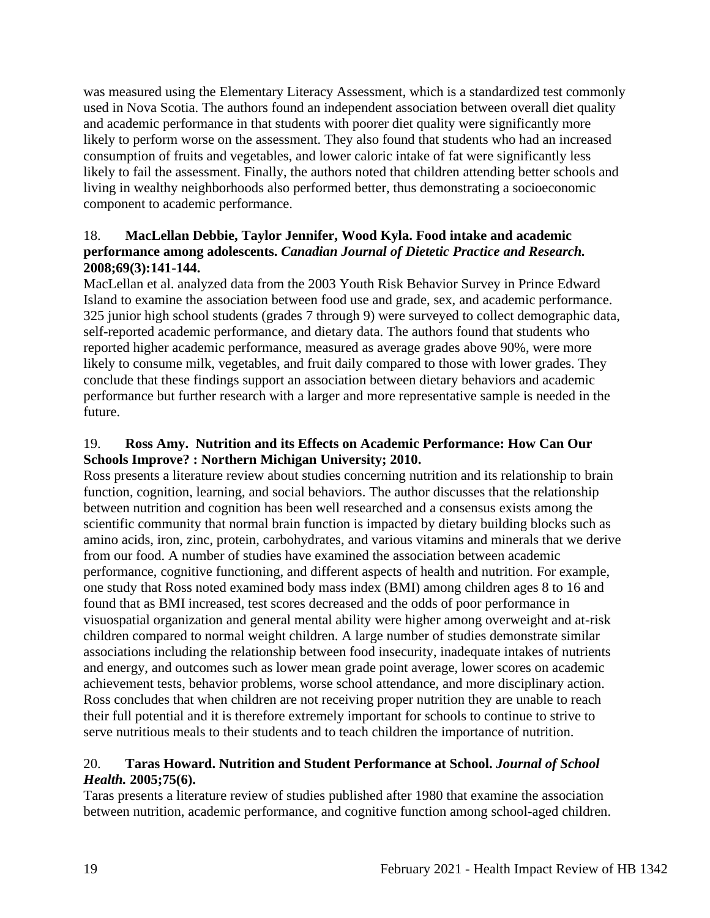was measured using the Elementary Literacy Assessment, which is a standardized test commonly used in Nova Scotia. The authors found an independent association between overall diet quality and academic performance in that students with poorer diet quality were significantly more likely to perform worse on the assessment. They also found that students who had an increased consumption of fruits and vegetables, and lower caloric intake of fat were significantly less likely to fail the assessment. Finally, the authors noted that children attending better schools and living in wealthy neighborhoods also performed better, thus demonstrating a socioeconomic component to academic performance.

### 18. **MacLellan Debbie, Taylor Jennifer, Wood Kyla. Food intake and academic performance among adolescents.** *Canadian Journal of Dietetic Practice and Research.*  **2008;69(3):141-144.**

MacLellan et al. analyzed data from the 2003 Youth Risk Behavior Survey in Prince Edward Island to examine the association between food use and grade, sex, and academic performance. 325 junior high school students (grades 7 through 9) were surveyed to collect demographic data, self-reported academic performance, and dietary data. The authors found that students who reported higher academic performance, measured as average grades above 90%, were more likely to consume milk, vegetables, and fruit daily compared to those with lower grades. They conclude that these findings support an association between dietary behaviors and academic performance but further research with a larger and more representative sample is needed in the future.

### 19. **Ross Amy. Nutrition and its Effects on Academic Performance: How Can Our Schools Improve? : Northern Michigan University; 2010.**

Ross presents a literature review about studies concerning nutrition and its relationship to brain function, cognition, learning, and social behaviors. The author discusses that the relationship between nutrition and cognition has been well researched and a consensus exists among the scientific community that normal brain function is impacted by dietary building blocks such as amino acids, iron, zinc, protein, carbohydrates, and various vitamins and minerals that we derive from our food. A number of studies have examined the association between academic performance, cognitive functioning, and different aspects of health and nutrition. For example, one study that Ross noted examined body mass index (BMI) among children ages 8 to 16 and found that as BMI increased, test scores decreased and the odds of poor performance in visuospatial organization and general mental ability were higher among overweight and at-risk children compared to normal weight children. A large number of studies demonstrate similar associations including the relationship between food insecurity, inadequate intakes of nutrients and energy, and outcomes such as lower mean grade point average, lower scores on academic achievement tests, behavior problems, worse school attendance, and more disciplinary action. Ross concludes that when children are not receiving proper nutrition they are unable to reach their full potential and it is therefore extremely important for schools to continue to strive to serve nutritious meals to their students and to teach children the importance of nutrition.

### 20. **Taras Howard. Nutrition and Student Performance at School.** *Journal of School Health.* **2005;75(6).**

Taras presents a literature review of studies published after 1980 that examine the association between nutrition, academic performance, and cognitive function among school-aged children.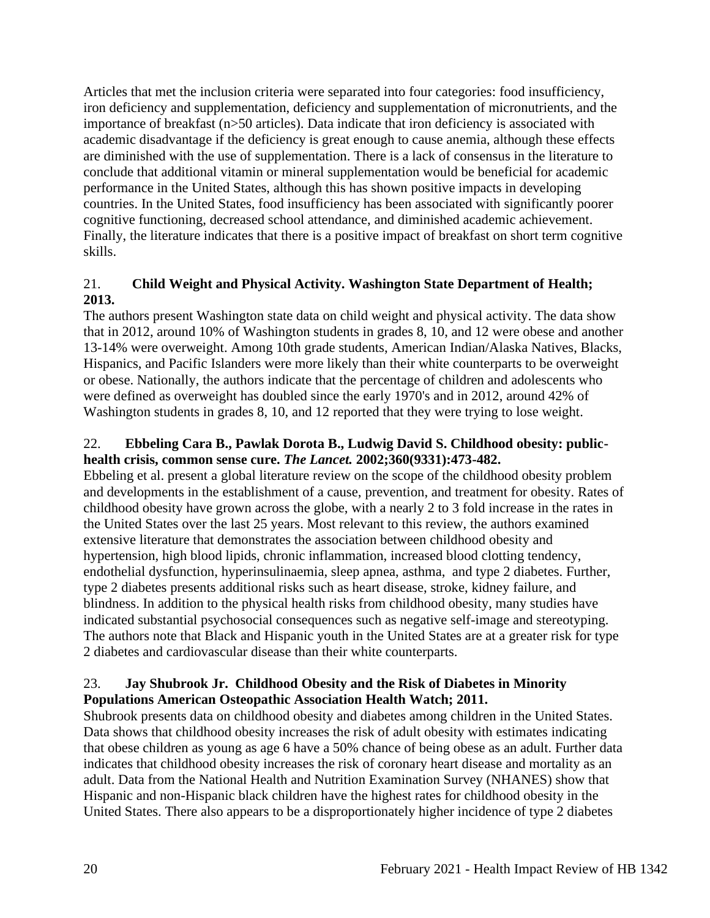Articles that met the inclusion criteria were separated into four categories: food insufficiency, iron deficiency and supplementation, deficiency and supplementation of micronutrients, and the importance of breakfast (n>50 articles). Data indicate that iron deficiency is associated with academic disadvantage if the deficiency is great enough to cause anemia, although these effects are diminished with the use of supplementation. There is a lack of consensus in the literature to conclude that additional vitamin or mineral supplementation would be beneficial for academic performance in the United States, although this has shown positive impacts in developing countries. In the United States, food insufficiency has been associated with significantly poorer cognitive functioning, decreased school attendance, and diminished academic achievement. Finally, the literature indicates that there is a positive impact of breakfast on short term cognitive skills.

# 21. **Child Weight and Physical Activity. Washington State Department of Health; 2013.**

The authors present Washington state data on child weight and physical activity. The data show that in 2012, around 10% of Washington students in grades 8, 10, and 12 were obese and another 13-14% were overweight. Among 10th grade students, American Indian/Alaska Natives, Blacks, Hispanics, and Pacific Islanders were more likely than their white counterparts to be overweight or obese. Nationally, the authors indicate that the percentage of children and adolescents who were defined as overweight has doubled since the early 1970's and in 2012, around 42% of Washington students in grades 8, 10, and 12 reported that they were trying to lose weight.

## 22. **Ebbeling Cara B., Pawlak Dorota B., Ludwig David S. Childhood obesity: publichealth crisis, common sense cure.** *The Lancet.* **2002;360(9331):473-482.**

Ebbeling et al. present a global literature review on the scope of the childhood obesity problem and developments in the establishment of a cause, prevention, and treatment for obesity. Rates of childhood obesity have grown across the globe, with a nearly 2 to 3 fold increase in the rates in the United States over the last 25 years. Most relevant to this review, the authors examined extensive literature that demonstrates the association between childhood obesity and hypertension, high blood lipids, chronic inflammation, increased blood clotting tendency, endothelial dysfunction, hyperinsulinaemia, sleep apnea, asthma, and type 2 diabetes. Further, type 2 diabetes presents additional risks such as heart disease, stroke, kidney failure, and blindness. In addition to the physical health risks from childhood obesity, many studies have indicated substantial psychosocial consequences such as negative self-image and stereotyping. The authors note that Black and Hispanic youth in the United States are at a greater risk for type 2 diabetes and cardiovascular disease than their white counterparts.

### 23. **Jay Shubrook Jr. Childhood Obesity and the Risk of Diabetes in Minority Populations American Osteopathic Association Health Watch; 2011.**

Shubrook presents data on childhood obesity and diabetes among children in the United States. Data shows that childhood obesity increases the risk of adult obesity with estimates indicating that obese children as young as age 6 have a 50% chance of being obese as an adult. Further data indicates that childhood obesity increases the risk of coronary heart disease and mortality as an adult. Data from the National Health and Nutrition Examination Survey (NHANES) show that Hispanic and non-Hispanic black children have the highest rates for childhood obesity in the United States. There also appears to be a disproportionately higher incidence of type 2 diabetes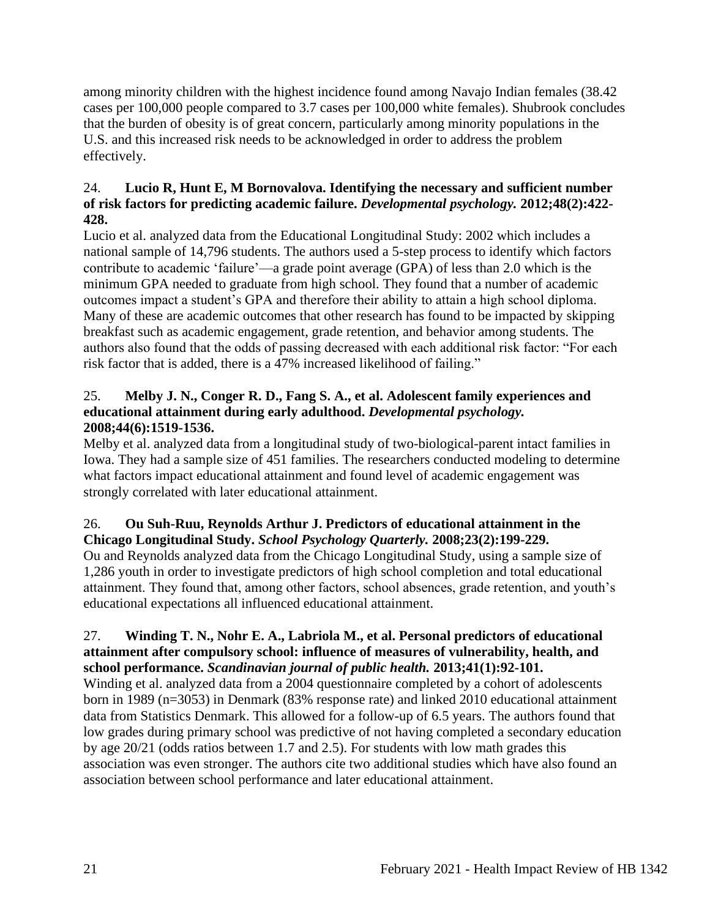among minority children with the highest incidence found among Navajo Indian females (38.42 cases per 100,000 people compared to 3.7 cases per 100,000 white females). Shubrook concludes that the burden of obesity is of great concern, particularly among minority populations in the U.S. and this increased risk needs to be acknowledged in order to address the problem effectively.

### 24. **Lucio R, Hunt E, M Bornovalova. Identifying the necessary and sufficient number of risk factors for predicting academic failure.** *Developmental psychology.* **2012;48(2):422- 428.**

Lucio et al. analyzed data from the Educational Longitudinal Study: 2002 which includes a national sample of 14,796 students. The authors used a 5-step process to identify which factors contribute to academic 'failure'—a grade point average (GPA) of less than 2.0 which is the minimum GPA needed to graduate from high school. They found that a number of academic outcomes impact a student's GPA and therefore their ability to attain a high school diploma. Many of these are academic outcomes that other research has found to be impacted by skipping breakfast such as academic engagement, grade retention, and behavior among students. The authors also found that the odds of passing decreased with each additional risk factor: "For each risk factor that is added, there is a 47% increased likelihood of failing."

### 25. **Melby J. N., Conger R. D., Fang S. A., et al. Adolescent family experiences and educational attainment during early adulthood.** *Developmental psychology.*  **2008;44(6):1519-1536.**

Melby et al. analyzed data from a longitudinal study of two-biological-parent intact families in Iowa. They had a sample size of 451 families. The researchers conducted modeling to determine what factors impact educational attainment and found level of academic engagement was strongly correlated with later educational attainment.

## 26. **Ou Suh-Ruu, Reynolds Arthur J. Predictors of educational attainment in the Chicago Longitudinal Study.** *School Psychology Quarterly.* **2008;23(2):199-229.**

Ou and Reynolds analyzed data from the Chicago Longitudinal Study, using a sample size of 1,286 youth in order to investigate predictors of high school completion and total educational attainment. They found that, among other factors, school absences, grade retention, and youth's educational expectations all influenced educational attainment.

### 27. **Winding T. N., Nohr E. A., Labriola M., et al. Personal predictors of educational attainment after compulsory school: influence of measures of vulnerability, health, and school performance.** *Scandinavian journal of public health.* **2013;41(1):92-101.**

Winding et al. analyzed data from a 2004 questionnaire completed by a cohort of adolescents born in 1989 (n=3053) in Denmark (83% response rate) and linked 2010 educational attainment data from Statistics Denmark. This allowed for a follow-up of 6.5 years. The authors found that low grades during primary school was predictive of not having completed a secondary education by age 20/21 (odds ratios between 1.7 and 2.5). For students with low math grades this association was even stronger. The authors cite two additional studies which have also found an association between school performance and later educational attainment.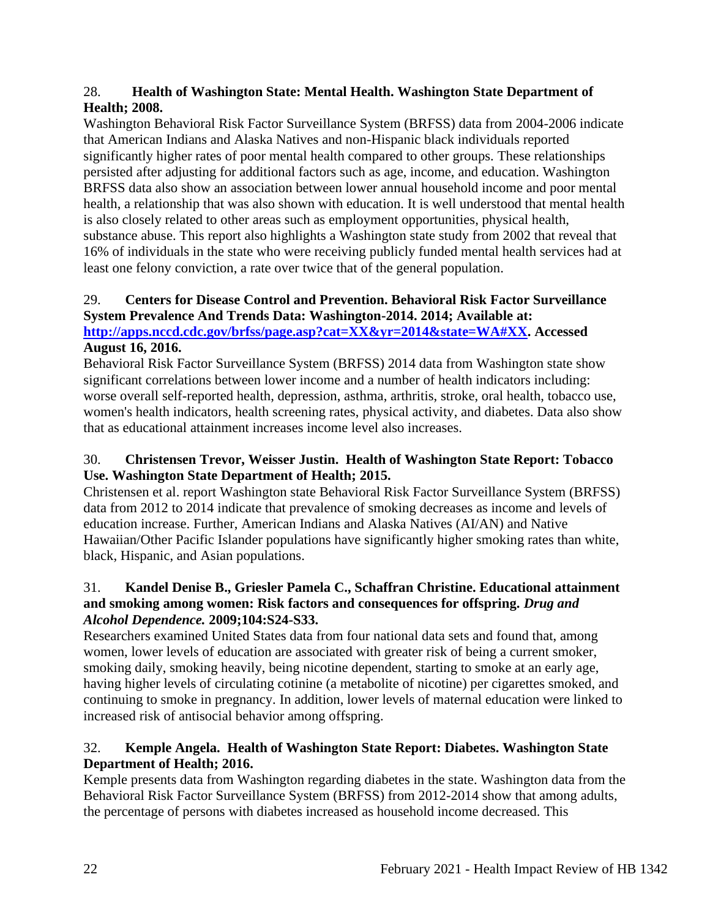### 28. **Health of Washington State: Mental Health. Washington State Department of Health; 2008.**

Washington Behavioral Risk Factor Surveillance System (BRFSS) data from 2004-2006 indicate that American Indians and Alaska Natives and non-Hispanic black individuals reported significantly higher rates of poor mental health compared to other groups. These relationships persisted after adjusting for additional factors such as age, income, and education. Washington BRFSS data also show an association between lower annual household income and poor mental health, a relationship that was also shown with education. It is well understood that mental health is also closely related to other areas such as employment opportunities, physical health, substance abuse. This report also highlights a Washington state study from 2002 that reveal that 16% of individuals in the state who were receiving publicly funded mental health services had at least one felony conviction, a rate over twice that of the general population.

# 29. **Centers for Disease Control and Prevention. Behavioral Risk Factor Surveillance System Prevalence And Trends Data: Washington-2014. 2014; Available at:**

**[http://apps.nccd.cdc.gov/brfss/page.asp?cat=XX&yr=2014&state=WA#XX.](http://apps.nccd.cdc.gov/brfss/page.asp?cat=XX&yr=2014&state=WA#XX) Accessed August 16, 2016.**

Behavioral Risk Factor Surveillance System (BRFSS) 2014 data from Washington state show significant correlations between lower income and a number of health indicators including: worse overall self-reported health, depression, asthma, arthritis, stroke, oral health, tobacco use, women's health indicators, health screening rates, physical activity, and diabetes. Data also show that as educational attainment increases income level also increases.

## 30. **Christensen Trevor, Weisser Justin. Health of Washington State Report: Tobacco Use. Washington State Department of Health; 2015.**

Christensen et al. report Washington state Behavioral Risk Factor Surveillance System (BRFSS) data from 2012 to 2014 indicate that prevalence of smoking decreases as income and levels of education increase. Further, American Indians and Alaska Natives (AI/AN) and Native Hawaiian/Other Pacific Islander populations have significantly higher smoking rates than white, black, Hispanic, and Asian populations.

## 31. **Kandel Denise B., Griesler Pamela C., Schaffran Christine. Educational attainment and smoking among women: Risk factors and consequences for offspring.** *Drug and Alcohol Dependence.* **2009;104:S24-S33.**

Researchers examined United States data from four national data sets and found that, among women, lower levels of education are associated with greater risk of being a current smoker, smoking daily, smoking heavily, being nicotine dependent, starting to smoke at an early age, having higher levels of circulating cotinine (a metabolite of nicotine) per cigarettes smoked, and continuing to smoke in pregnancy. In addition, lower levels of maternal education were linked to increased risk of antisocial behavior among offspring.

# 32. **Kemple Angela. Health of Washington State Report: Diabetes. Washington State Department of Health; 2016.**

Kemple presents data from Washington regarding diabetes in the state. Washington data from the Behavioral Risk Factor Surveillance System (BRFSS) from 2012-2014 show that among adults, the percentage of persons with diabetes increased as household income decreased. This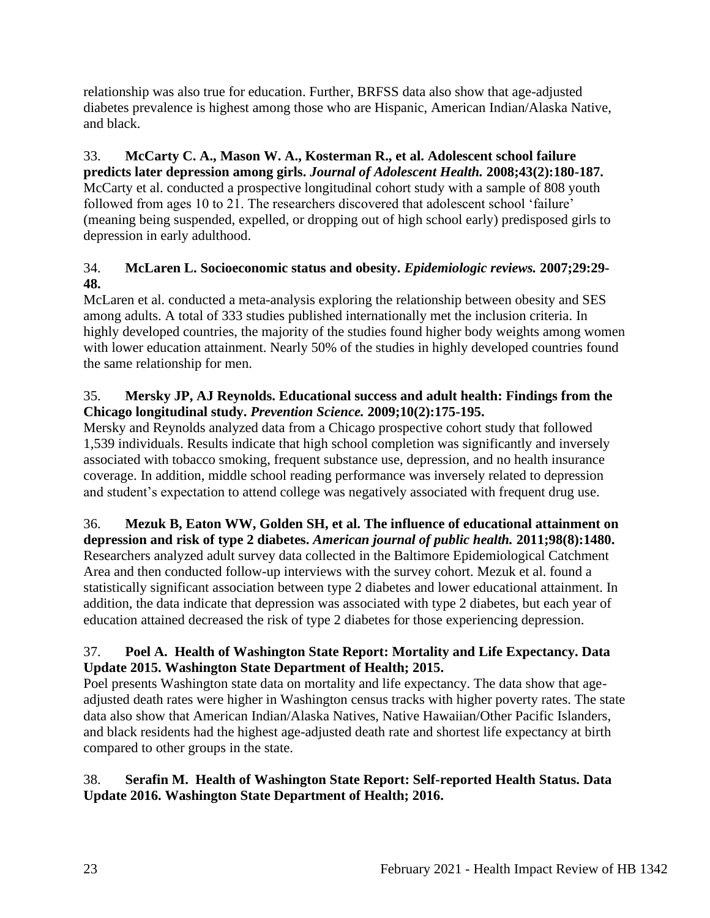relationship was also true for education. Further, BRFSS data also show that age-adjusted diabetes prevalence is highest among those who are Hispanic, American Indian/Alaska Native, and black.

33. **McCarty C. A., Mason W. A., Kosterman R., et al. Adolescent school failure predicts later depression among girls.** *Journal of Adolescent Health.* **2008;43(2):180-187.** McCarty et al. conducted a prospective longitudinal cohort study with a sample of 808 youth followed from ages 10 to 21. The researchers discovered that adolescent school 'failure' (meaning being suspended, expelled, or dropping out of high school early) predisposed girls to depression in early adulthood.

# 34. **McLaren L. Socioeconomic status and obesity.** *Epidemiologic reviews.* **2007;29:29- 48.**

McLaren et al. conducted a meta-analysis exploring the relationship between obesity and SES among adults. A total of 333 studies published internationally met the inclusion criteria. In highly developed countries, the majority of the studies found higher body weights among women with lower education attainment. Nearly 50% of the studies in highly developed countries found the same relationship for men.

# 35. **Mersky JP, AJ Reynolds. Educational success and adult health: Findings from the Chicago longitudinal study.** *Prevention Science.* **2009;10(2):175-195.**

Mersky and Reynolds analyzed data from a Chicago prospective cohort study that followed 1,539 individuals. Results indicate that high school completion was significantly and inversely associated with tobacco smoking, frequent substance use, depression, and no health insurance coverage. In addition, middle school reading performance was inversely related to depression and student's expectation to attend college was negatively associated with frequent drug use.

#### 36. **Mezuk B, Eaton WW, Golden SH, et al. The influence of educational attainment on depression and risk of type 2 diabetes.** *American journal of public health.* **2011;98(8):1480.**

Researchers analyzed adult survey data collected in the Baltimore Epidemiological Catchment Area and then conducted follow-up interviews with the survey cohort. Mezuk et al. found a statistically significant association between type 2 diabetes and lower educational attainment. In addition, the data indicate that depression was associated with type 2 diabetes, but each year of education attained decreased the risk of type 2 diabetes for those experiencing depression.

# 37. **Poel A. Health of Washington State Report: Mortality and Life Expectancy. Data Update 2015. Washington State Department of Health; 2015.**

Poel presents Washington state data on mortality and life expectancy. The data show that ageadjusted death rates were higher in Washington census tracks with higher poverty rates. The state data also show that American Indian/Alaska Natives, Native Hawaiian/Other Pacific Islanders, and black residents had the highest age-adjusted death rate and shortest life expectancy at birth compared to other groups in the state.

# 38. **Serafin M. Health of Washington State Report: Self-reported Health Status. Data Update 2016. Washington State Department of Health; 2016.**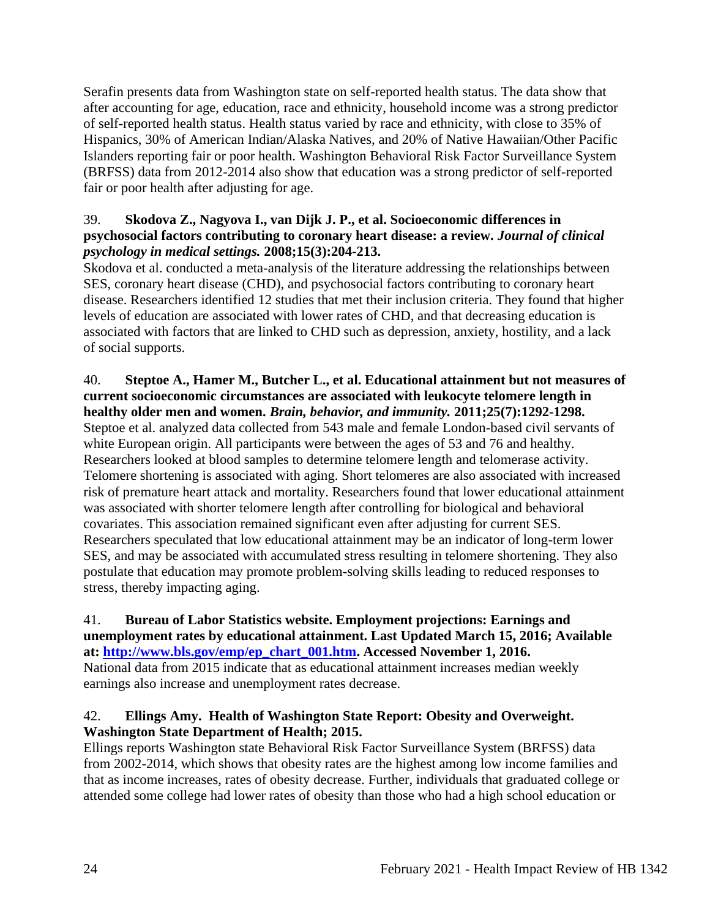Serafin presents data from Washington state on self-reported health status. The data show that after accounting for age, education, race and ethnicity, household income was a strong predictor of self-reported health status. Health status varied by race and ethnicity, with close to 35% of Hispanics, 30% of American Indian/Alaska Natives, and 20% of Native Hawaiian/Other Pacific Islanders reporting fair or poor health. Washington Behavioral Risk Factor Surveillance System (BRFSS) data from 2012-2014 also show that education was a strong predictor of self-reported fair or poor health after adjusting for age.

### 39. **Skodova Z., Nagyova I., van Dijk J. P., et al. Socioeconomic differences in psychosocial factors contributing to coronary heart disease: a review.** *Journal of clinical psychology in medical settings.* **2008;15(3):204-213.**

Skodova et al. conducted a meta-analysis of the literature addressing the relationships between SES, coronary heart disease (CHD), and psychosocial factors contributing to coronary heart disease. Researchers identified 12 studies that met their inclusion criteria. They found that higher levels of education are associated with lower rates of CHD, and that decreasing education is associated with factors that are linked to CHD such as depression, anxiety, hostility, and a lack of social supports.

### 40. **Steptoe A., Hamer M., Butcher L., et al. Educational attainment but not measures of current socioeconomic circumstances are associated with leukocyte telomere length in healthy older men and women.** *Brain, behavior, and immunity.* **2011;25(7):1292-1298.**

Steptoe et al. analyzed data collected from 543 male and female London-based civil servants of white European origin. All participants were between the ages of 53 and 76 and healthy. Researchers looked at blood samples to determine telomere length and telomerase activity. Telomere shortening is associated with aging. Short telomeres are also associated with increased risk of premature heart attack and mortality. Researchers found that lower educational attainment was associated with shorter telomere length after controlling for biological and behavioral covariates. This association remained significant even after adjusting for current SES. Researchers speculated that low educational attainment may be an indicator of long-term lower SES, and may be associated with accumulated stress resulting in telomere shortening. They also postulate that education may promote problem-solving skills leading to reduced responses to stress, thereby impacting aging.

### 41. **Bureau of Labor Statistics website. Employment projections: Earnings and unemployment rates by educational attainment. Last Updated March 15, 2016; Available at: [http://www.bls.gov/emp/ep\\_chart\\_001.htm.](http://www.bls.gov/emp/ep_chart_001.htm) Accessed November 1, 2016.** National data from 2015 indicate that as educational attainment increases median weekly

earnings also increase and unemployment rates decrease.

## 42. **Ellings Amy. Health of Washington State Report: Obesity and Overweight. Washington State Department of Health; 2015.**

Ellings reports Washington state Behavioral Risk Factor Surveillance System (BRFSS) data from 2002-2014, which shows that obesity rates are the highest among low income families and that as income increases, rates of obesity decrease. Further, individuals that graduated college or attended some college had lower rates of obesity than those who had a high school education or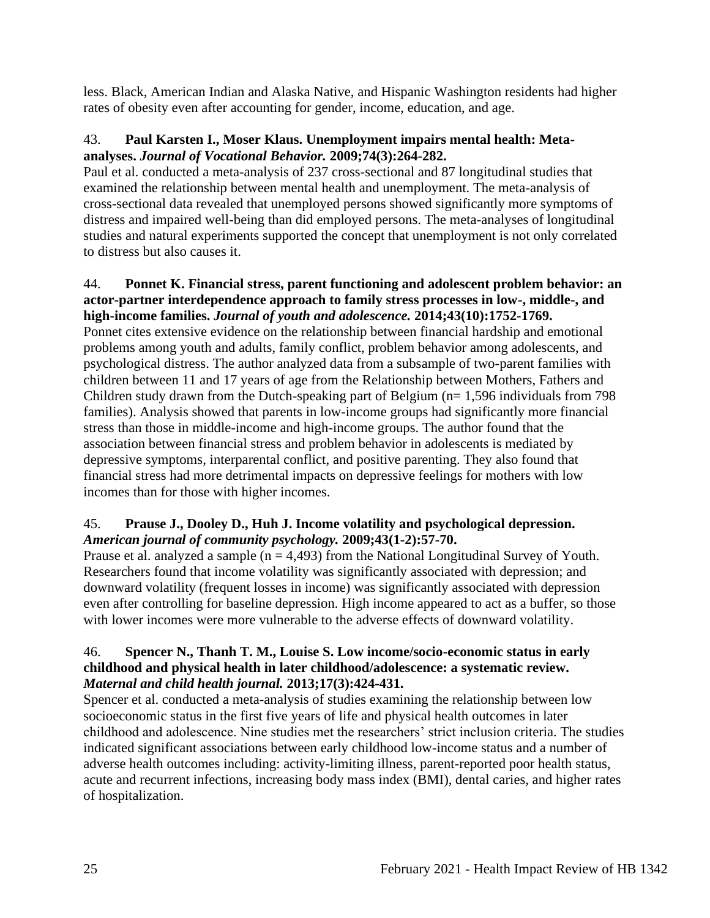less. Black, American Indian and Alaska Native, and Hispanic Washington residents had higher rates of obesity even after accounting for gender, income, education, and age.

### 43. **Paul Karsten I., Moser Klaus. Unemployment impairs mental health: Metaanalyses.** *Journal of Vocational Behavior.* **2009;74(3):264-282.**

Paul et al. conducted a meta-analysis of 237 cross-sectional and 87 longitudinal studies that examined the relationship between mental health and unemployment. The meta-analysis of cross-sectional data revealed that unemployed persons showed significantly more symptoms of distress and impaired well-being than did employed persons. The meta-analyses of longitudinal studies and natural experiments supported the concept that unemployment is not only correlated to distress but also causes it.

### 44. **Ponnet K. Financial stress, parent functioning and adolescent problem behavior: an actor-partner interdependence approach to family stress processes in low-, middle-, and high-income families.** *Journal of youth and adolescence.* **2014;43(10):1752-1769.**

Ponnet cites extensive evidence on the relationship between financial hardship and emotional problems among youth and adults, family conflict, problem behavior among adolescents, and psychological distress. The author analyzed data from a subsample of two-parent families with children between 11 and 17 years of age from the Relationship between Mothers, Fathers and Children study drawn from the Dutch-speaking part of Belgium ( $n= 1,596$  individuals from 798 families). Analysis showed that parents in low-income groups had significantly more financial stress than those in middle-income and high-income groups. The author found that the association between financial stress and problem behavior in adolescents is mediated by depressive symptoms, interparental conflict, and positive parenting. They also found that financial stress had more detrimental impacts on depressive feelings for mothers with low incomes than for those with higher incomes.

### 45. **Prause J., Dooley D., Huh J. Income volatility and psychological depression.**  *American journal of community psychology.* **2009;43(1-2):57-70.**

Prause et al. analyzed a sample ( $n = 4,493$ ) from the National Longitudinal Survey of Youth. Researchers found that income volatility was significantly associated with depression; and downward volatility (frequent losses in income) was significantly associated with depression even after controlling for baseline depression. High income appeared to act as a buffer, so those with lower incomes were more vulnerable to the adverse effects of downward volatility.

### 46. **Spencer N., Thanh T. M., Louise S. Low income/socio-economic status in early childhood and physical health in later childhood/adolescence: a systematic review.**  *Maternal and child health journal.* **2013;17(3):424-431.**

Spencer et al. conducted a meta-analysis of studies examining the relationship between low socioeconomic status in the first five years of life and physical health outcomes in later childhood and adolescence. Nine studies met the researchers' strict inclusion criteria. The studies indicated significant associations between early childhood low-income status and a number of adverse health outcomes including: activity-limiting illness, parent-reported poor health status, acute and recurrent infections, increasing body mass index (BMI), dental caries, and higher rates of hospitalization.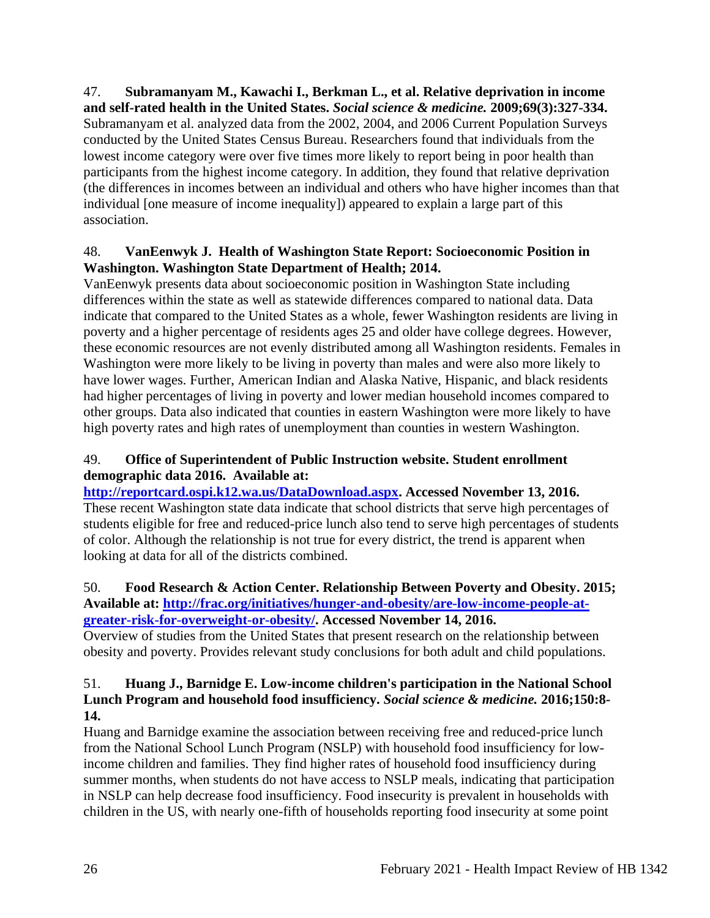47. **Subramanyam M., Kawachi I., Berkman L., et al. Relative deprivation in income and self-rated health in the United States.** *Social science & medicine.* **2009;69(3):327-334.** Subramanyam et al. analyzed data from the 2002, 2004, and 2006 Current Population Surveys conducted by the United States Census Bureau. Researchers found that individuals from the lowest income category were over five times more likely to report being in poor health than participants from the highest income category. In addition, they found that relative deprivation (the differences in incomes between an individual and others who have higher incomes than that individual [one measure of income inequality]) appeared to explain a large part of this association.

## 48. **VanEenwyk J. Health of Washington State Report: Socioeconomic Position in Washington. Washington State Department of Health; 2014.**

VanEenwyk presents data about socioeconomic position in Washington State including differences within the state as well as statewide differences compared to national data. Data indicate that compared to the United States as a whole, fewer Washington residents are living in poverty and a higher percentage of residents ages 25 and older have college degrees. However, these economic resources are not evenly distributed among all Washington residents. Females in Washington were more likely to be living in poverty than males and were also more likely to have lower wages. Further, American Indian and Alaska Native, Hispanic, and black residents had higher percentages of living in poverty and lower median household incomes compared to other groups. Data also indicated that counties in eastern Washington were more likely to have high poverty rates and high rates of unemployment than counties in western Washington.

# 49. **Office of Superintendent of Public Instruction website. Student enrollment demographic data 2016. Available at:**

**[http://reportcard.ospi.k12.wa.us/DataDownload.aspx.](http://reportcard.ospi.k12.wa.us/DataDownload.aspx) Accessed November 13, 2016.** These recent Washington state data indicate that school districts that serve high percentages of students eligible for free and reduced-price lunch also tend to serve high percentages of students of color. Although the relationship is not true for every district, the trend is apparent when looking at data for all of the districts combined.

### 50. **Food Research & Action Center. Relationship Between Poverty and Obesity. 2015; Available at: [http://frac.org/initiatives/hunger-and-obesity/are-low-income-people-at](http://frac.org/initiatives/hunger-and-obesity/are-low-income-people-at-greater-risk-for-overweight-or-obesity/)[greater-risk-for-overweight-or-obesity/.](http://frac.org/initiatives/hunger-and-obesity/are-low-income-people-at-greater-risk-for-overweight-or-obesity/) Accessed November 14, 2016.**

Overview of studies from the United States that present research on the relationship between obesity and poverty. Provides relevant study conclusions for both adult and child populations.

### 51. **Huang J., Barnidge E. Low-income children's participation in the National School Lunch Program and household food insufficiency.** *Social science & medicine.* **2016;150:8- 14.**

Huang and Barnidge examine the association between receiving free and reduced-price lunch from the National School Lunch Program (NSLP) with household food insufficiency for lowincome children and families. They find higher rates of household food insufficiency during summer months, when students do not have access to NSLP meals, indicating that participation in NSLP can help decrease food insufficiency. Food insecurity is prevalent in households with children in the US, with nearly one-fifth of households reporting food insecurity at some point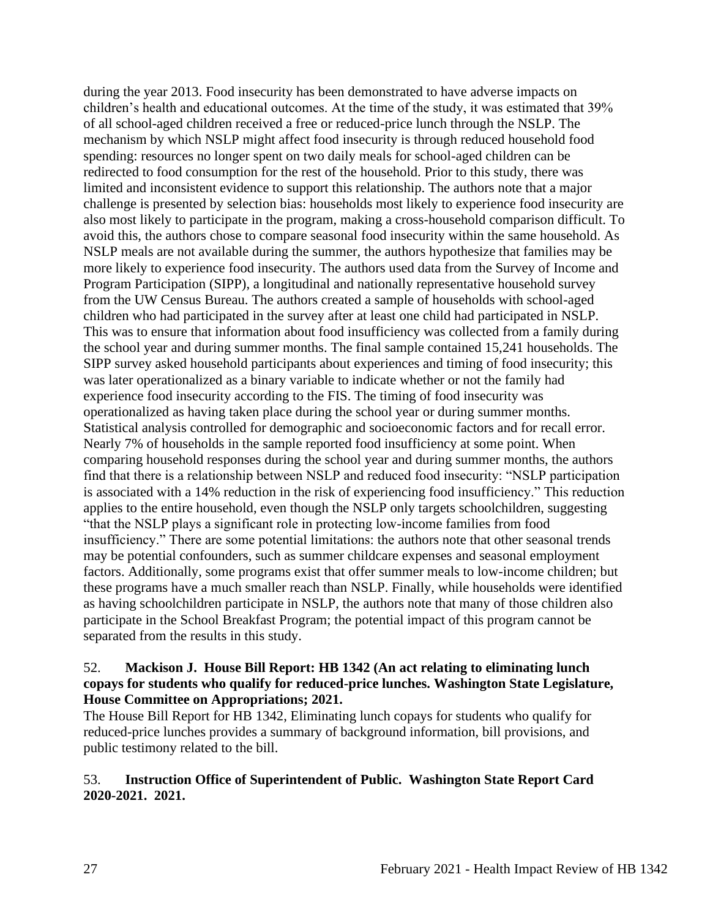during the year 2013. Food insecurity has been demonstrated to have adverse impacts on children's health and educational outcomes. At the time of the study, it was estimated that 39% of all school-aged children received a free or reduced-price lunch through the NSLP. The mechanism by which NSLP might affect food insecurity is through reduced household food spending: resources no longer spent on two daily meals for school-aged children can be redirected to food consumption for the rest of the household. Prior to this study, there was limited and inconsistent evidence to support this relationship. The authors note that a major challenge is presented by selection bias: households most likely to experience food insecurity are also most likely to participate in the program, making a cross-household comparison difficult. To avoid this, the authors chose to compare seasonal food insecurity within the same household. As NSLP meals are not available during the summer, the authors hypothesize that families may be more likely to experience food insecurity. The authors used data from the Survey of Income and Program Participation (SIPP), a longitudinal and nationally representative household survey from the UW Census Bureau. The authors created a sample of households with school-aged children who had participated in the survey after at least one child had participated in NSLP. This was to ensure that information about food insufficiency was collected from a family during the school year and during summer months. The final sample contained 15,241 households. The SIPP survey asked household participants about experiences and timing of food insecurity; this was later operationalized as a binary variable to indicate whether or not the family had experience food insecurity according to the FIS. The timing of food insecurity was operationalized as having taken place during the school year or during summer months. Statistical analysis controlled for demographic and socioeconomic factors and for recall error. Nearly 7% of households in the sample reported food insufficiency at some point. When comparing household responses during the school year and during summer months, the authors find that there is a relationship between NSLP and reduced food insecurity: "NSLP participation is associated with a 14% reduction in the risk of experiencing food insufficiency." This reduction applies to the entire household, even though the NSLP only targets schoolchildren, suggesting "that the NSLP plays a significant role in protecting low-income families from food insufficiency." There are some potential limitations: the authors note that other seasonal trends may be potential confounders, such as summer childcare expenses and seasonal employment factors. Additionally, some programs exist that offer summer meals to low-income children; but these programs have a much smaller reach than NSLP. Finally, while households were identified as having schoolchildren participate in NSLP, the authors note that many of those children also participate in the School Breakfast Program; the potential impact of this program cannot be separated from the results in this study.

#### 52. **Mackison J. House Bill Report: HB 1342 (An act relating to eliminating lunch copays for students who qualify for reduced-price lunches. Washington State Legislature, House Committee on Appropriations; 2021.**

The House Bill Report for HB 1342, Eliminating lunch copays for students who qualify for reduced-price lunches provides a summary of background information, bill provisions, and public testimony related to the bill.

### 53. **Instruction Office of Superintendent of Public. Washington State Report Card 2020-2021. 2021.**